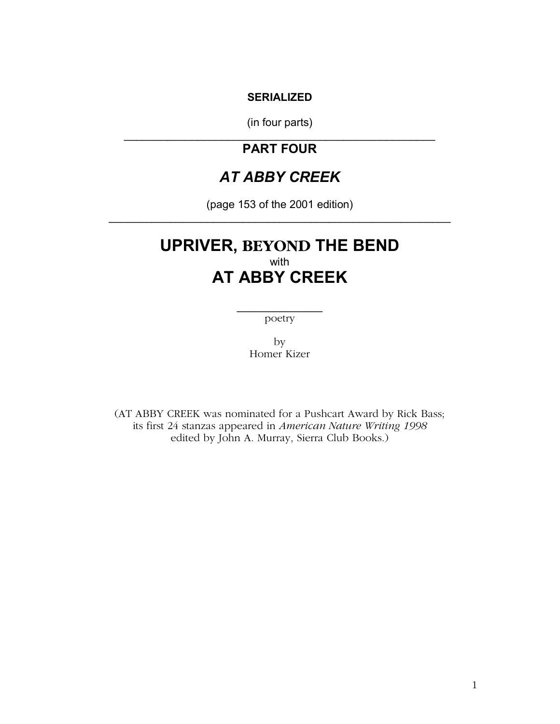### **SERIALIZED**

(in four parts) \_\_\_\_\_\_\_\_\_\_\_\_\_\_\_\_\_\_\_\_\_\_\_\_\_\_\_\_\_\_\_\_\_\_\_\_\_\_\_\_\_\_\_\_\_\_\_\_\_\_\_

### **PART FOUR**

# *AT ABBY CREEK*

(page 153 of the 2001 edition) \_\_\_\_\_\_\_\_\_\_\_\_\_\_\_\_\_\_\_\_\_\_\_\_\_\_\_\_\_\_\_\_\_\_\_\_\_\_\_\_\_\_\_\_\_\_\_\_\_\_\_\_\_\_\_\_

## **UPRIVER, BEYOND THE BEND**  with **AT ABBY CREEK**

 $\frac{1}{2}$  , where  $\frac{1}{2}$ poetry

> by Homer Kizer

(AT ABBY CREEK was nominated for a Pushcart Award by Rick Bass; its first 24 stanzas appeared in *American Nature Writing 1998*  edited by John A. Murray, Sierra Club Books.)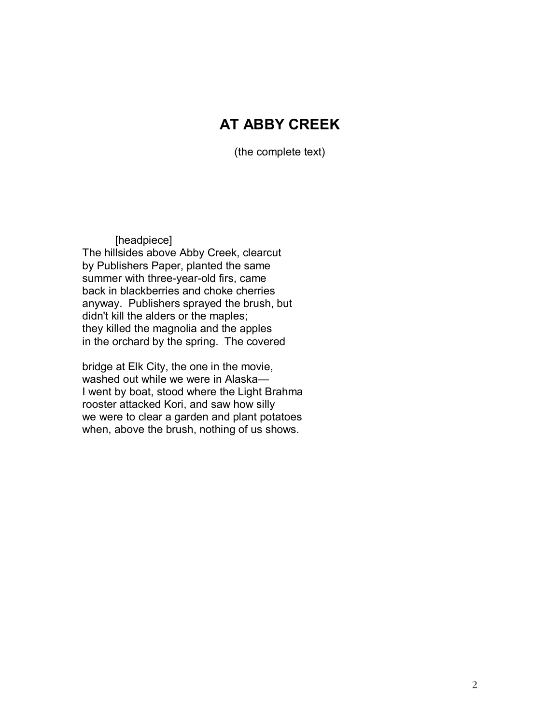# **AT ABBY CREEK**

(the complete text)

### [headpiece]

The hillsides above Abby Creek, clearcut by Publishers Paper, planted the same summer with three-year-old firs, came back in blackberries and choke cherries anyway. Publishers sprayed the brush, but didn't kill the alders or the maples; they killed the magnolia and the apples in the orchard by the spring. The covered

bridge at Elk City, the one in the movie, washed out while we were in Alaska-I went by boat, stood where the Light Brahma rooster attacked Kori, and saw how silly we were to clear a garden and plant potatoes when, above the brush, nothing of us shows.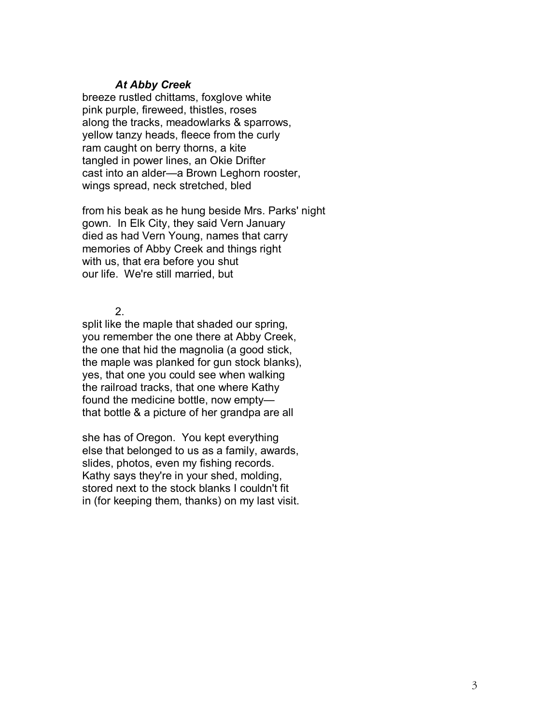### *At Abby Creek*

breeze rustled chittams, foxglove white pink purple, fireweed, thistles, roses along the tracks, meadowlarks & sparrows, yellow tanzy heads, fleece from the curly ram caught on berry thorns, a kite tangled in power lines, an Okie Drifter cast into an alder—a Brown Leghorn rooster, wings spread, neck stretched, bled

from his beak as he hung beside Mrs. Parks' night gown. In Elk City, they said Vern January died as had Vern Young, names that carry memories of Abby Creek and things right with us, that era before you shut our life. We're still married, but

2.

split like the maple that shaded our spring, you remember the one there at Abby Creek, the one that hid the magnolia (a good stick, the maple was planked for gun stock blanks), yes, that one you could see when walking the railroad tracks, that one where Kathy found the medicine bottle, now emptythat bottle & a picture of her grandpa are all

she has of Oregon. You kept everything else that belonged to us as a family, awards, slides, photos, even my fishing records. Kathy says they're in your shed, molding, stored next to the stock blanks I couldn't fit in (for keeping them, thanks) on my last visit.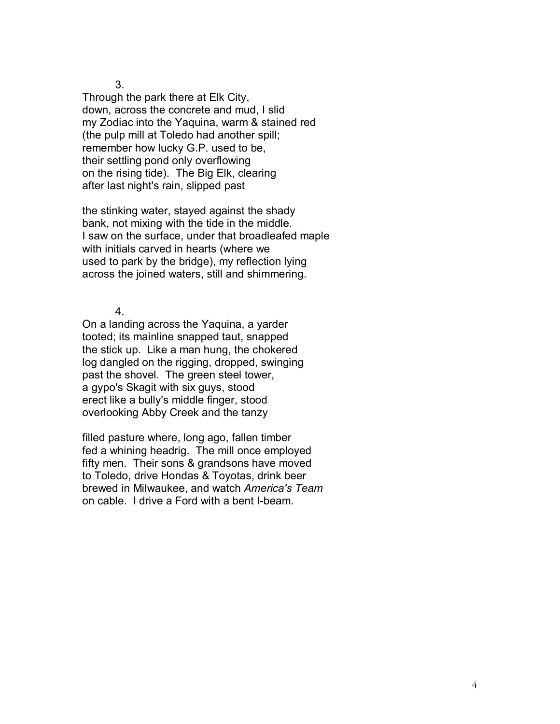Through the park there at Elk City, down, across the concrete and mud, I slid my Zodiac into the Yaquina, warm & stained red (the pulp mill at Toledo had another spill; remember how lucky G.P. used to be, their settling pond only overflowing on the rising tide). The Big Elk, clearing after last night's rain, slipped past

the stinking water, stayed against the shady bank, not mixing with the tide in the middle. I saw on the surface, under that broadleafed maple with initials carved in hearts (where we used to park by the bridge), my reflection lying across the joined waters, still and shimmering.

4.

On a landing across the Yaquina, a yarder tooted; its mainline snapped taut, snapped the stick up. Like a man hung, the chokered log dangled on the rigging, dropped, swinging past the shovel. The green steel tower, a gypo's Skagit with six guys, stood erect like a bully's middle finger, stood overlooking Abby Creek and the tanzy

filled pasture where, long ago, fallen timber fed a whining headrig. The mill once employed fifty men. Their sons & grandsons have moved to Toledo, drive Hondas & Toyotas, drink beer brewed in Milwaukee, and watch *America's Team*  on cable. I drive a Ford with a bent I-beam.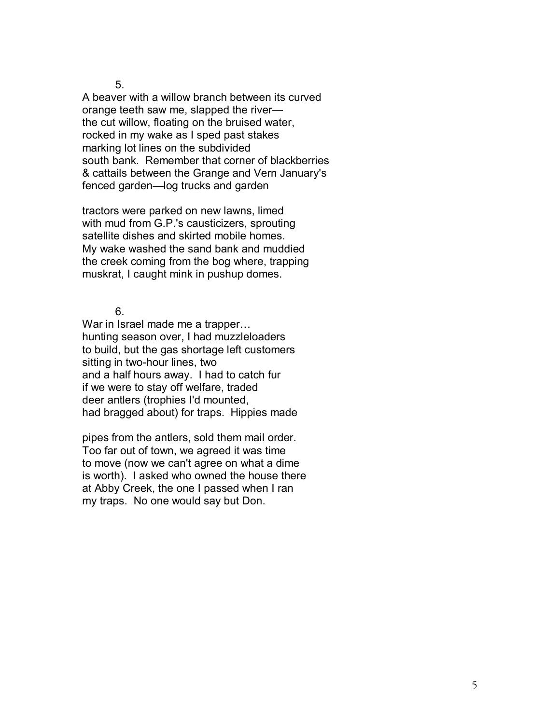A beaver with a willow branch between its curved orange teeth saw me, slapped the river the cut willow, floating on the bruised water, rocked in my wake as I sped past stakes marking lot lines on the subdivided south bank. Remember that corner of blackberries & cattails between the Grange and Vern January's fenced garden-log trucks and garden

tractors were parked on new lawns, limed with mud from G.P.'s causticizers, sprouting satellite dishes and skirted mobile homes. My wake washed the sand bank and muddied the creek coming from the bog where, trapping muskrat, I caught mink in pushup domes.

6.

War in Israel made me a trapper... hunting season over, I had muzzleloaders to build, but the gas shortage left customers sitting in two-hour lines, two and a half hours away. I had to catch fur if we were to stay off welfare, traded deer antlers (trophies I'd mounted, had bragged about) for traps. Hippies made

pipes from the antlers, sold them mail order. Too far out of town, we agreed it was time to move (now we can't agree on what a dime is worth). I asked who owned the house there at Abby Creek, the one I passed when I ran my traps. No one would say but Don.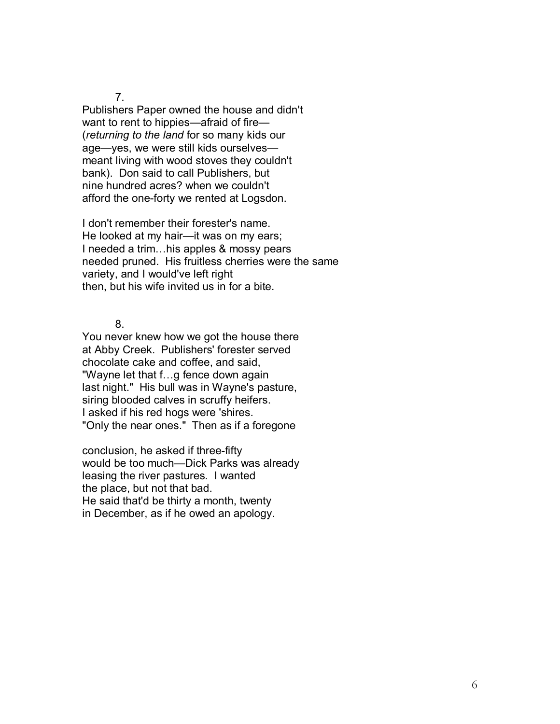Publishers Paper owned the house and didn't want to rent to hippies—afraid of fire— (*returning to the land* for so many kids our age-yes, we were still kids ourselvesmeant living with wood stoves they couldn't bank). Don said to call Publishers, but nine hundred acres? when we couldn't afford the one-forty we rented at Logsdon.

I don't remember their forester's name. He looked at my hair-it was on my ears; I needed a trim...his apples & mossy pears needed pruned. His fruitless cherries were the same variety, and I would've left right then, but his wife invited us in for a bite.

8.

You never knew how we got the house there at Abby Creek. Publishers' forester served chocolate cake and coffee, and said, "Wayne let that f...g fence down again last night." His bull was in Wayne's pasture, siring blooded calves in scruffy heifers. I asked if his red hogs were 'shires. "Only the near ones." Then as if a foregone

conclusion, he asked if three-fifty would be too much-Dick Parks was already leasing the river pastures. I wanted the place, but not that bad. He said that'd be thirty a month, twenty in December, as if he owed an apology.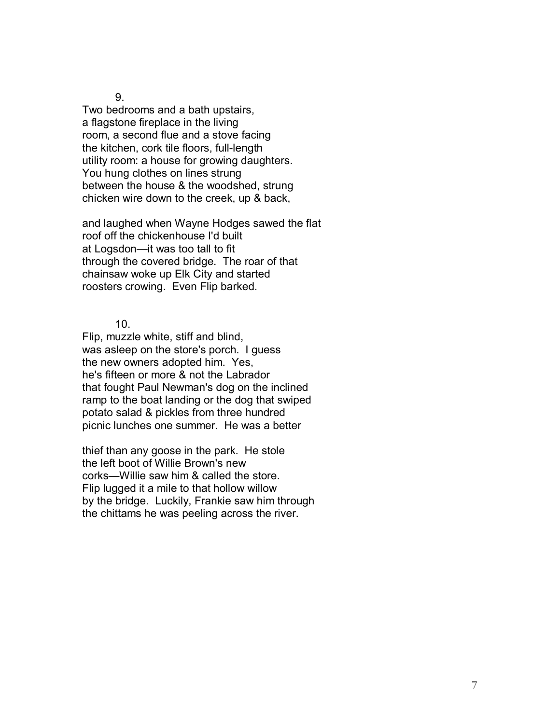Two bedrooms and a bath upstairs, a flagstone fireplace in the living room, a second flue and a stove facing the kitchen, cork tile floors, full-length utility room: a house for growing daughters. You hung clothes on lines strung between the house & the woodshed, strung chicken wire down to the creek, up & back,

and laughed when Wayne Hodges sawed the flat roof off the chickenhouse I'd built at Logsdon-it was too tall to fit through the covered bridge. The roar of that chainsaw woke up Elk City and started roosters crowing. Even Flip barked.

10.

Flip, muzzle white, stiff and blind, was asleep on the store's porch. I guess the new owners adopted him. Yes, he's fifteen or more & not the Labrador that fought Paul Newman's dog on the inclined ramp to the boat landing or the dog that swiped potato salad & pickles from three hundred picnic lunches one summer. He was a better

thief than any goose in the park. He stole the left boot of Willie Brown's new corks—Willie saw him & called the store. Flip lugged it a mile to that hollow willow by the bridge. Luckily, Frankie saw him through the chittams he was peeling across the river.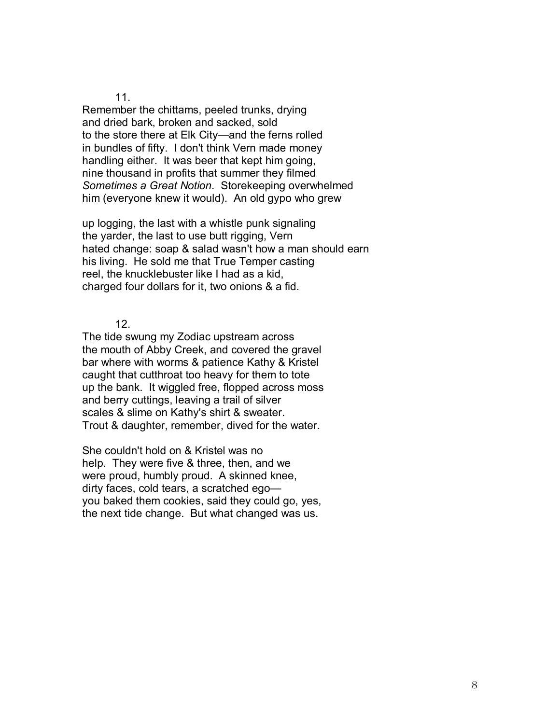Remember the chittams, peeled trunks, drying and dried bark, broken and sacked, sold to the store there at Elk City—and the ferns rolled in bundles of fifty. I don't think Vern made money handling either. It was beer that kept him going, nine thousand in profits that summer they filmed *Sometimes a Great Notion*. Storekeeping overwhelmed him (everyone knew it would). An old gypo who grew

up logging, the last with a whistle punk signaling the yarder, the last to use butt rigging, Vern hated change: soap & salad wasn't how a man should earn his living. He sold me that True Temper casting reel, the knucklebuster like I had as a kid, charged four dollars for it, two onions & a fid.

12.

The tide swung my Zodiac upstream across the mouth of Abby Creek, and covered the gravel bar where with worms & patience Kathy & Kristel caught that cutthroat too heavy for them to tote up the bank. It wiggled free, flopped across moss and berry cuttings, leaving a trail of silver scales & slime on Kathy's shirt & sweater. Trout & daughter, remember, dived for the water.

She couldn't hold on & Kristel was no help. They were five & three, then, and we were proud, humbly proud. A skinned knee, dirty faces, cold tears, a scratched egoyou baked them cookies, said they could go, yes, the next tide change. But what changed was us.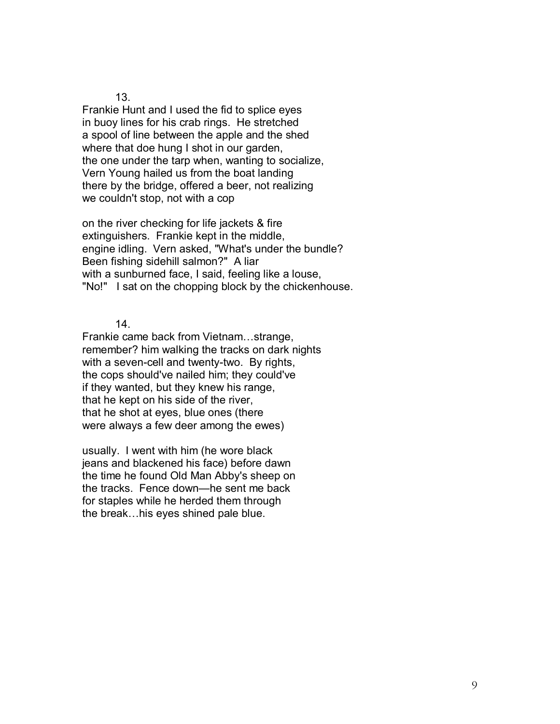Frankie Hunt and I used the fid to splice eyes in buoy lines for his crab rings. He stretched a spool of line between the apple and the shed where that doe hung I shot in our garden, the one under the tarp when, wanting to socialize, Vern Young hailed us from the boat landing there by the bridge, offered a beer, not realizing we couldn't stop, not with a cop

on the river checking for life jackets & fire extinguishers. Frankie kept in the middle, engine idling. Vern asked, "What's under the bundle? Been fishing sidehill salmon?" A liar with a sunburned face, I said, feeling like a louse, "No!" I sat on the chopping block by the chickenhouse.

14.

Frankie came back from Vietnam...strange, remember? him walking the tracks on dark nights with a seven-cell and twenty-two. By rights, the cops should've nailed him; they could've if they wanted, but they knew his range, that he kept on his side of the river, that he shot at eyes, blue ones (there were always a few deer among the ewes)

usually. I went with him (he wore black jeans and blackened his face) before dawn the time he found Old Man Abby's sheep on the tracks. Fence down—he sent me back for staples while he herded them through the break...his eyes shined pale blue.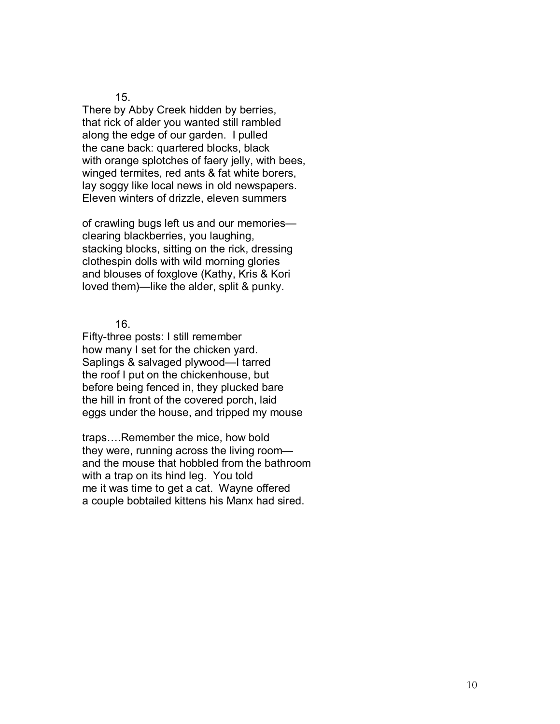There by Abby Creek hidden by berries, that rick of alder you wanted still rambled along the edge of our garden. I pulled the cane back: quartered blocks, black with orange splotches of faery jelly, with bees, winged termites, red ants & fat white borers, lay soggy like local news in old newspapers. Eleven winters of drizzle, eleven summers

of crawling bugs left us and our memories clearing blackberries, you laughing, stacking blocks, sitting on the rick, dressing clothespin dolls with wild morning glories and blouses of foxglove (Kathy, Kris & Kori loved them)—like the alder, split & punky.

16.

Fifty-three posts: I still remember how many I set for the chicken yard. Saplings & salvaged plywood—I tarred the roof I put on the chickenhouse, but before being fenced in, they plucked bare the hill in front of the covered porch, laid eggs under the house, and tripped my mouse

traps....Remember the mice, how bold they were, running across the living room and the mouse that hobbled from the bathroom with a trap on its hind leg. You told me it was time to get a cat. Wayne offered a couple bobtailed kittens his Manx had sired.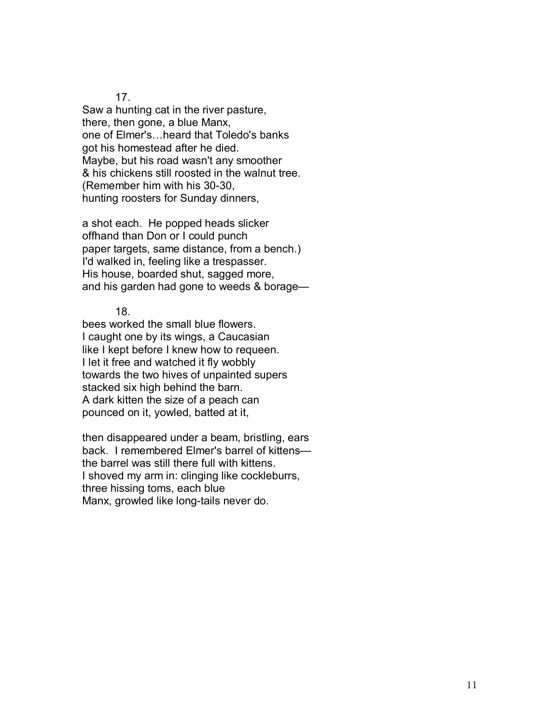Saw a hunting cat in the river pasture, there, then gone, a blue Manx, one of Elmer's...heard that Toledo's banks got his homestead after he died. Maybe, but his road wasn't any smoother & his chickens still roosted in the walnut tree. (Remember him with his 30-30, hunting roosters for Sunday dinners,

a shot each. He popped heads slicker offhand than Don or I could punch paper targets, same distance, from a bench.) I'd walked in, feeling like a trespasser. His house, boarded shut, sagged more, and his garden had gone to weeds  $&$  borage-

18.

bees worked the small blue flowers. I caught one by its wings, a Caucasian like I kept before I knew how to requeen. I let it free and watched it fly wobbly towards the two hives of unpainted supers stacked six high behind the barn. A dark kitten the size of a peach can pounced on it, yowled, batted at it,

then disappeared under a beam, bristling, ears back. I remembered Elmer's barrel of kittens the barrel was still there full with kittens. I shoved my arm in: clinging like cockleburrs, three hissing toms, each blue Manx, growled like long-tails never do.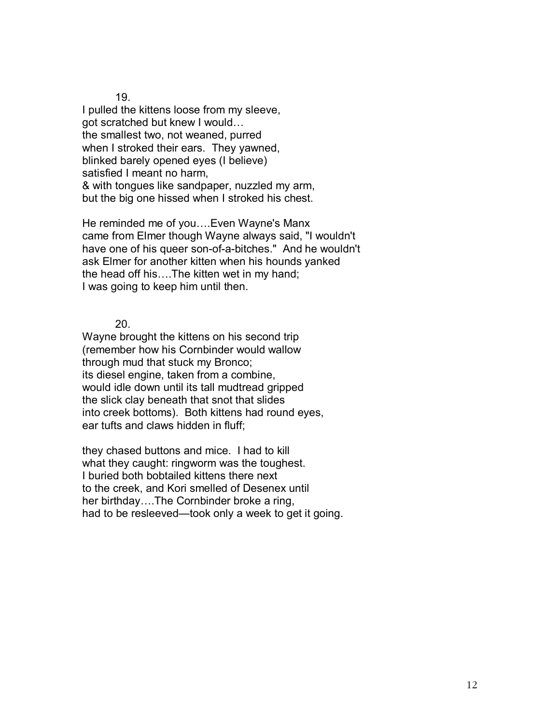I pulled the kittens loose from my sleeve, got scratched but knew I would... the smallest two, not weaned, purred when I stroked their ears. They yawned, blinked barely opened eyes (I believe) satisfied I meant no harm, & with tongues like sandpaper, nuzzled my arm, but the big one hissed when I stroked his chest.

He reminded me of you....Even Wayne's Manx came from Elmer though Wayne always said, "I wouldn't have one of his queer son-of-a-bitches." And he wouldn't ask Elmer for another kitten when his hounds yanked the head off his.... The kitten wet in my hand; I was going to keep him until then.

20.

Wayne brought the kittens on his second trip (remember how his Cornbinder would wallow through mud that stuck my Bronco; its diesel engine, taken from a combine, would idle down until its tall mudtread gripped the slick clay beneath that snot that slides into creek bottoms). Both kittens had round eyes, ear tufts and claws hidden in fluff;

they chased buttons and mice. I had to kill what they caught: ringworm was the toughest. I buried both bobtailed kittens there next to the creek, and Kori smelled of Desenex until her birthday....The Cornbinder broke a ring, had to be resleeved—took only a week to get it going.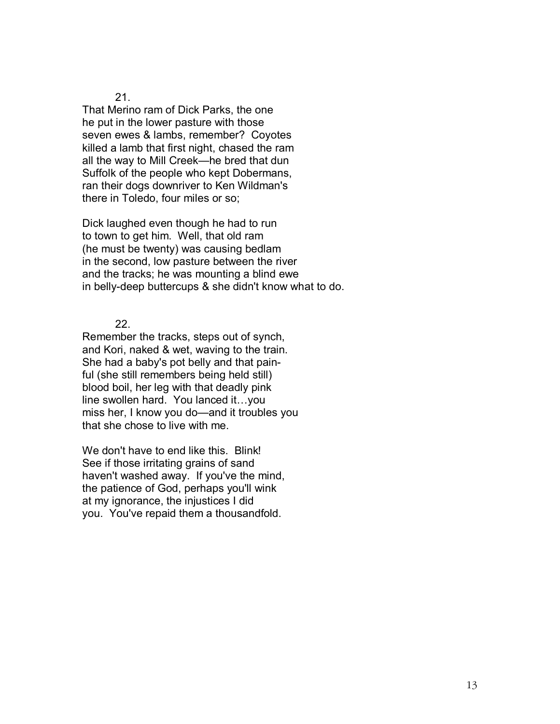That Merino ram of Dick Parks, the one he put in the lower pasture with those seven ewes & lambs, remember? Coyotes killed a lamb that first night, chased the ram all the way to Mill Creek—he bred that dun Suffolk of the people who kept Dobermans, ran their dogs downriver to Ken Wildman's there in Toledo, four miles or so;

Dick laughed even though he had to run to town to get him. Well, that old ram (he must be twenty) was causing bedlam in the second, low pasture between the river and the tracks; he was mounting a blind ewe in belly-deep buttercups & she didn't know what to do.

22.

Remember the tracks, steps out of synch, and Kori, naked & wet, waving to the train. She had a baby's pot belly and that painful (she still remembers being held still) blood boil, her leg with that deadly pink line swollen hard. You lanced it...you miss her, I know you do-and it troubles you that she chose to live with me.

We don't have to end like this. Blink! See if those irritating grains of sand haven't washed away. If you've the mind, the patience of God, perhaps you'll wink at my ignorance, the injustices I did you. You've repaid them a thousandfold.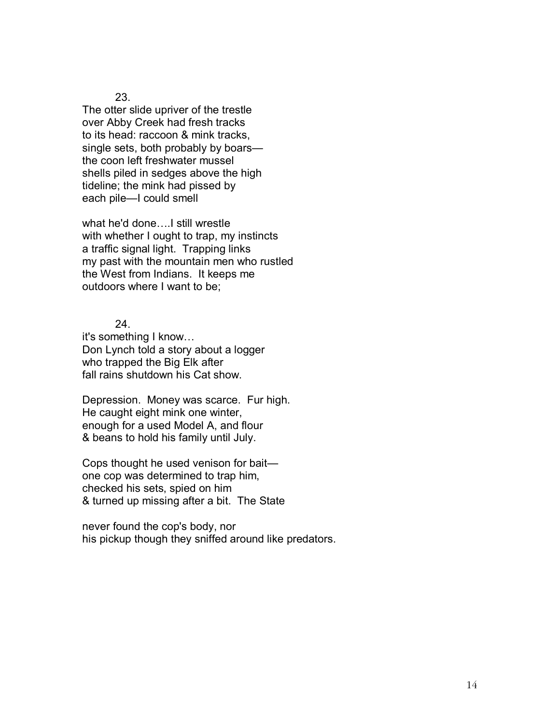The otter slide upriver of the trestle over Abby Creek had fresh tracks to its head: raccoon & mink tracks, single sets, both probably by boars the coon left freshwater mussel shells piled in sedges above the high tideline; the mink had pissed by each pile-I could smell

what he'd done....I still wrestle with whether I ought to trap, my instincts a traffic signal light. Trapping links my past with the mountain men who rustled the West from Indians. It keeps me outdoors where I want to be;

24.

it's something I know... Don Lynch told a story about a logger who trapped the Big Elk after fall rains shutdown his Cat show.

Depression. Money was scarce. Fur high. He caught eight mink one winter, enough for a used Model A, and flour & beans to hold his family until July.

Cops thought he used venison for bait $$ one cop was determined to trap him, checked his sets, spied on him & turned up missing after a bit. The State

never found the cop's body, nor his pickup though they sniffed around like predators.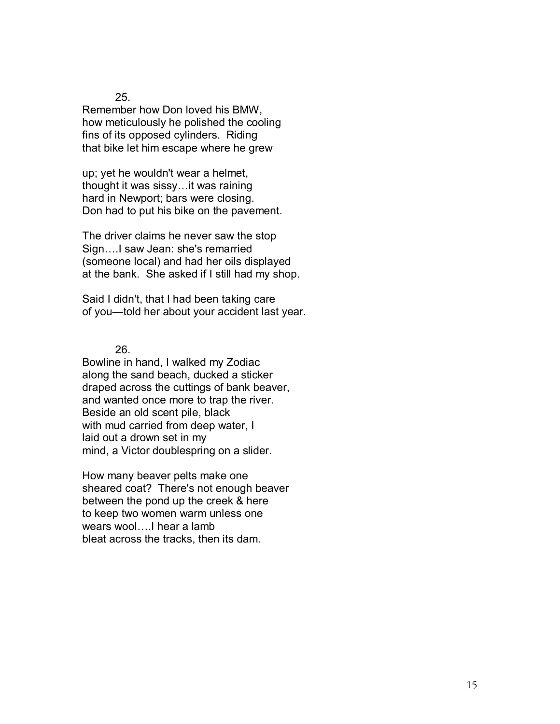Remember how Don loved his BMW, how meticulously he polished the cooling fins of its opposed cylinders. Riding that bike let him escape where he grew

up; yet he wouldn't wear a helmet, thought it was sissy... it was raining hard in Newport; bars were closing. Don had to put his bike on the pavement.

The driver claims he never saw the stop Sign....I saw Jean: she's remarried (someone local) and had her oils displayed at the bank. She asked if I still had my shop.

Said I didn't, that I had been taking care of you-told her about your accident last year.

26.

Bowline in hand, I walked my Zodiac along the sand beach, ducked a sticker draped across the cuttings of bank beaver, and wanted once more to trap the river. Beside an old scent pile, black with mud carried from deep water, I laid out a drown set in my mind, a Victor doublespring on a slider.

How many beaver pelts make one sheared coat? There's not enough beaver between the pond up the creek & here to keep two women warm unless one wears wool....I hear a lamb bleat across the tracks, then its dam.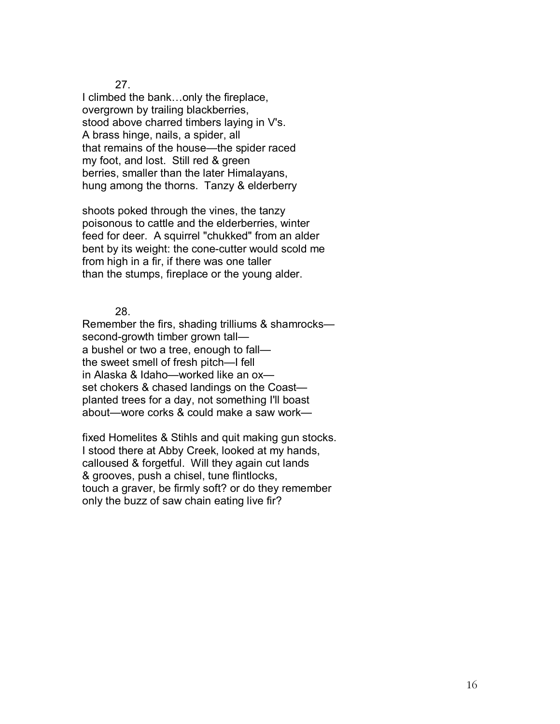I climbed the bank...only the fireplace, overgrown by trailing blackberries, stood above charred timbers laying in V's. A brass hinge, nails, a spider, all that remains of the house—the spider raced my foot, and lost. Still red & green berries, smaller than the later Himalayans, hung among the thorns. Tanzy & elderberry

shoots poked through the vines, the tanzy poisonous to cattle and the elderberries, winter feed for deer. A squirrel "chukked" from an alder bent by its weight: the cone-cutter would scold me from high in a fir, if there was one taller than the stumps, fireplace or the young alder.

28.

Remember the firs, shading trilliums & shamrocks second-growth timber grown talla bushel or two a tree, enough to fall the sweet smell of fresh pitch-I fell in Alaska & Idaho-worked like an oxset chokers & chased landings on the Coastplanted trees for a day, not something I'll boast about—wore corks & could make a saw work—

fixed Homelites & Stihls and quit making gun stocks. I stood there at Abby Creek, looked at my hands, calloused & forgetful. Will they again cut lands & grooves, push a chisel, tune flintlocks, touch a graver, be firmly soft? or do they remember only the buzz of saw chain eating live fir?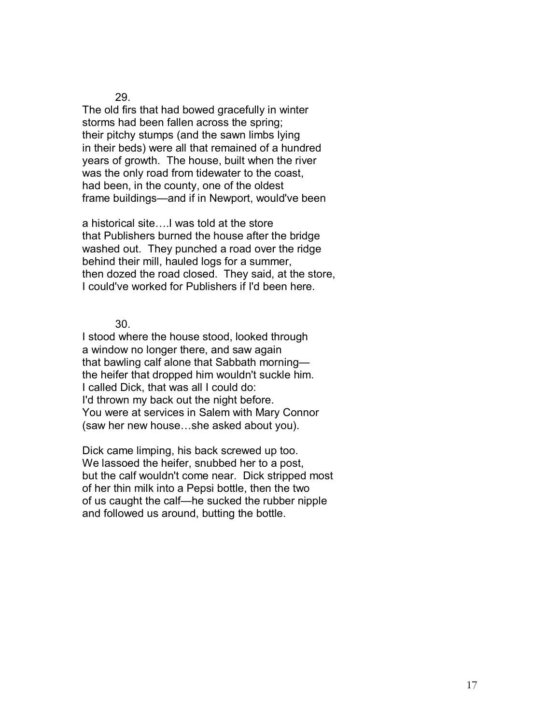The old firs that had bowed gracefully in winter storms had been fallen across the spring; their pitchy stumps (and the sawn limbs lying in their beds) were all that remained of a hundred years of growth. The house, built when the river was the only road from tidewater to the coast, had been, in the county, one of the oldest frame buildings—and if in Newport, would've been

a historical site....I was told at the store that Publishers burned the house after the bridge washed out. They punched a road over the ridge behind their mill, hauled logs for a summer, then dozed the road closed. They said, at the store, I could've worked for Publishers if I'd been here.

30.

I stood where the house stood, looked through a window no longer there, and saw again that bawling calf alone that Sabbath morningthe heifer that dropped him wouldn't suckle him. I called Dick, that was all I could do: I'd thrown my back out the night before. You were at services in Salem with Mary Connor (saw her new house...she asked about you).

Dick came limping, his back screwed up too. We lassoed the heifer, snubbed her to a post, but the calf wouldn't come near. Dick stripped most of her thin milk into a Pepsi bottle, then the two of us caught the calf-he sucked the rubber nipple and followed us around, butting the bottle.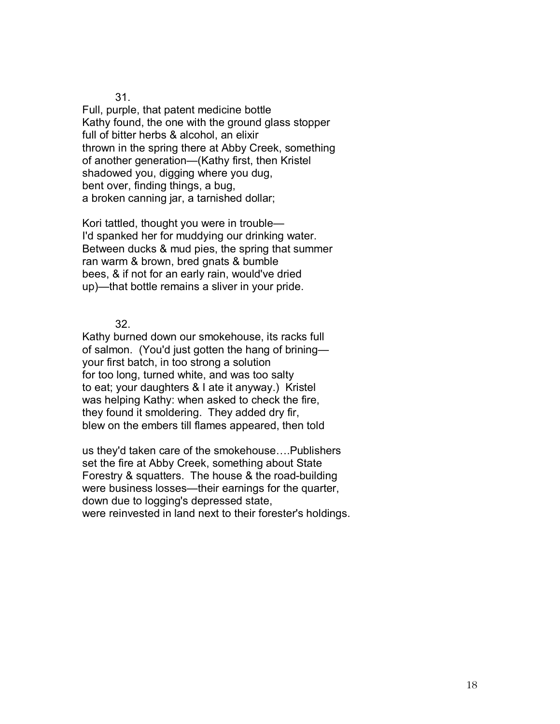Full, purple, that patent medicine bottle Kathy found, the one with the ground glass stopper full of bitter herbs & alcohol, an elixir thrown in the spring there at Abby Creek, something of another generation—(Kathy first, then Kristel shadowed you, digging where you dug, bent over, finding things, a bug, a broken canning jar, a tarnished dollar;

Kori tattled, thought you were in trouble— I'd spanked her for muddying our drinking water. Between ducks & mud pies, the spring that summer ran warm & brown, bred gnats & bumble bees, & if not for an early rain, would've dried up)—that bottle remains a sliver in your pride.

32.

Kathy burned down our smokehouse, its racks full of salmon. (You'd just gotten the hang of brining your first batch, in too strong a solution for too long, turned white, and was too salty to eat; your daughters & I ate it anyway.) Kristel was helping Kathy: when asked to check the fire, they found it smoldering. They added dry fir, blew on the embers till flames appeared, then told

us they'd taken care of the smokehouse....Publishers set the fire at Abby Creek, something about State Forestry & squatters. The house & the road-building were business losses—their earnings for the quarter, down due to logging's depressed state, were reinvested in land next to their forester's holdings.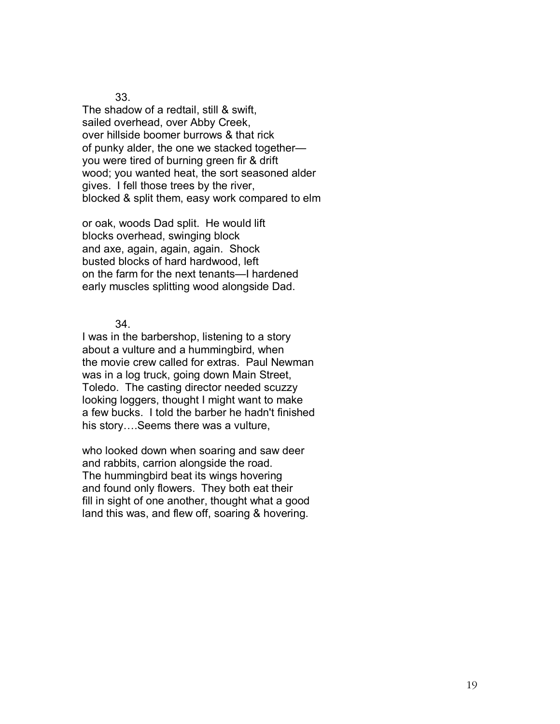The shadow of a redtail, still & swift, sailed overhead, over Abby Creek, over hillside boomer burrows & that rick of punky alder, the one we stacked together you were tired of burning green fir & drift wood; you wanted heat, the sort seasoned alder gives. I fell those trees by the river, blocked & split them, easy work compared to elm

or oak, woods Dad split. He would lift blocks overhead, swinging block and axe, again, again, again. Shock busted blocks of hard hardwood, left on the farm for the next tenants—I hardened early muscles splitting wood alongside Dad.

34.

I was in the barbershop, listening to a story about a vulture and a hummingbird, when the movie crew called for extras. Paul Newman was in a log truck, going down Main Street, Toledo. The casting director needed scuzzy looking loggers, thought I might want to make a few bucks. I told the barber he hadn't finished his story....Seems there was a vulture,

who looked down when soaring and saw deer and rabbits, carrion alongside the road. The hummingbird beat its wings hovering and found only flowers. They both eat their fill in sight of one another, thought what a good land this was, and flew off, soaring & hovering.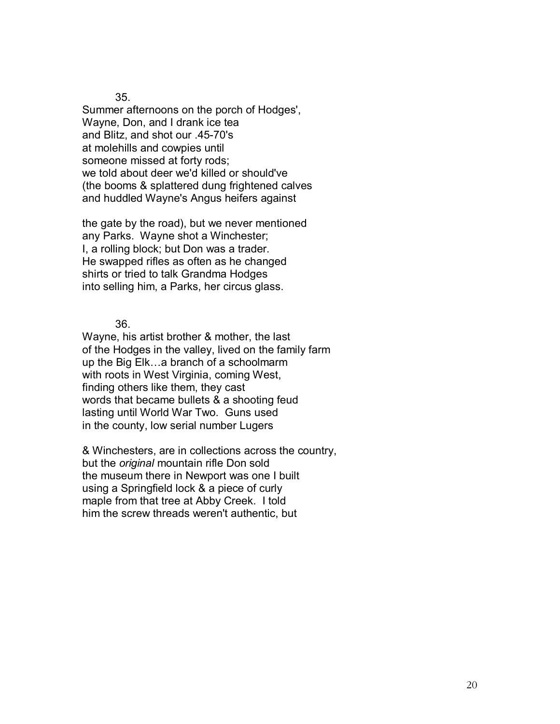Summer afternoons on the porch of Hodges', Wayne, Don, and I drank ice tea and Blitz, and shot our .45-70's at molehills and cowpies until someone missed at forty rods; we told about deer we'd killed or should've (the booms & splattered dung frightened calves and huddled Wayne's Angus heifers against

the gate by the road), but we never mentioned any Parks. Wayne shot a Winchester; I, a rolling block; but Don was a trader. He swapped rifles as often as he changed shirts or tried to talk Grandma Hodges into selling him, a Parks, her circus glass.

36.

Wayne, his artist brother & mother, the last of the Hodges in the valley, lived on the family farm up the Big Elk...a branch of a schoolmarm with roots in West Virginia, coming West, finding others like them, they cast words that became bullets & a shooting feud lasting until World War Two. Guns used in the county, low serial number Lugers

& Winchesters, are in collections across the country, but the *original* mountain rifle Don sold the museum there in Newport was one I built using a Springfield lock & a piece of curly maple from that tree at Abby Creek. I told him the screw threads weren't authentic, but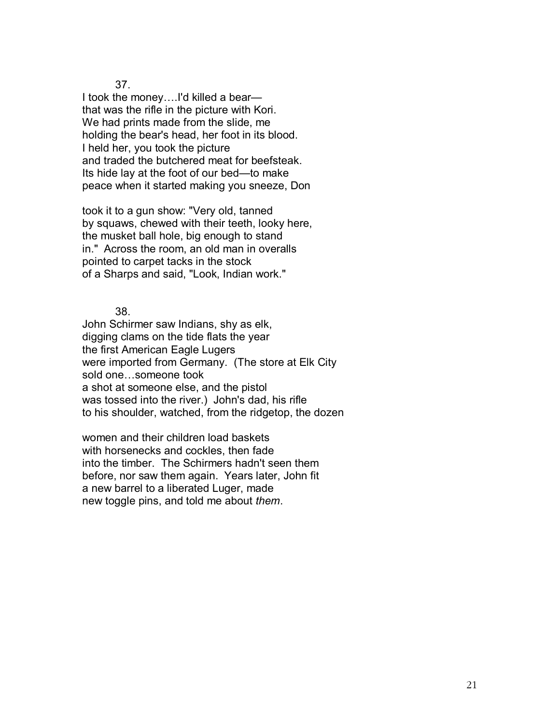I took the money....I'd killed a bearthat was the rifle in the picture with Kori. We had prints made from the slide, me holding the bear's head, her foot in its blood. I held her, you took the picture and traded the butchered meat for beefsteak. Its hide lay at the foot of our bed-to make peace when it started making you sneeze, Don

took it to a gun show: "Very old, tanned by squaws, chewed with their teeth, looky here, the musket ball hole, big enough to stand in." Across the room, an old man in overalls pointed to carpet tacks in the stock of a Sharps and said, "Look, Indian work."

38.

John Schirmer saw Indians, shy as elk, digging clams on the tide flats the year the first American Eagle Lugers were imported from Germany. (The store at Elk City sold one...someone took a shot at someone else, and the pistol was tossed into the river.) John's dad, his rifle to his shoulder, watched, from the ridgetop, the dozen

women and their children load baskets with horsenecks and cockles, then fade into the timber. The Schirmers hadn't seen them before, nor saw them again. Years later, John fit a new barrel to a liberated Luger, made new toggle pins, and told me about *them*.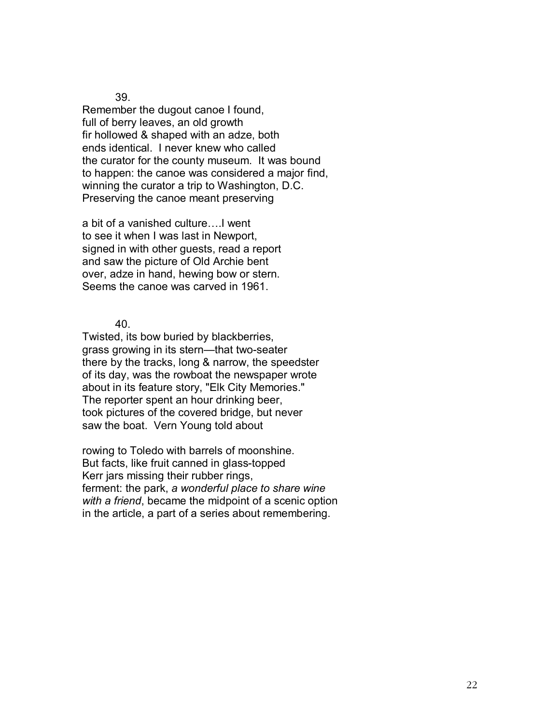Remember the dugout canoe I found, full of berry leaves, an old growth fir hollowed & shaped with an adze, both ends identical. I never knew who called the curator for the county museum. It was bound to happen: the canoe was considered a major find, winning the curator a trip to Washington, D.C. Preserving the canoe meant preserving

a bit of a vanished culture....I went to see it when I was last in Newport, signed in with other guests, read a report and saw the picture of Old Archie bent over, adze in hand, hewing bow or stern. Seems the canoe was carved in 1961.

40.

Twisted, its bow buried by blackberries, grass growing in its stern—that two-seater there by the tracks, long & narrow, the speedster of its day, was the rowboat the newspaper wrote about in its feature story, "Elk City Memories." The reporter spent an hour drinking beer, took pictures of the covered bridge, but never saw the boat. Vern Young told about

rowing to Toledo with barrels of moonshine. But facts, like fruit canned in glass-topped Kerr jars missing their rubber rings, ferment: the park, *a wonderful place to share wine with a friend*, became the midpoint of a scenic option in the article, a part of a series about remembering.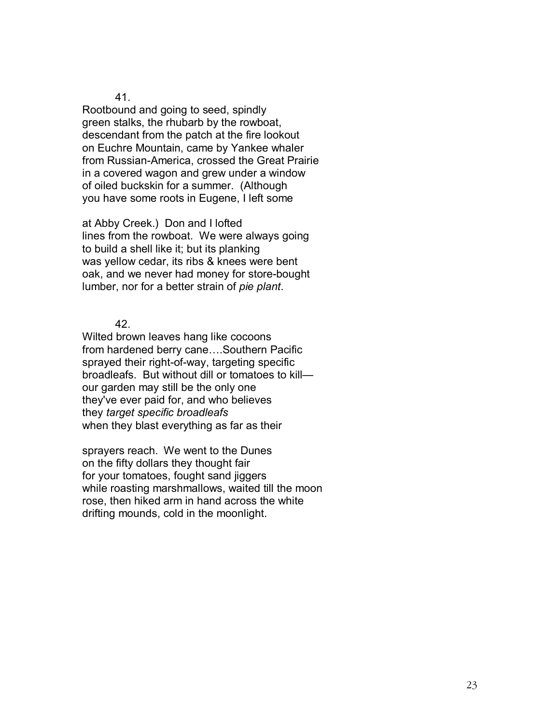Rootbound and going to seed, spindly green stalks, the rhubarb by the rowboat, descendant from the patch at the fire lookout on Euchre Mountain, came by Yankee whaler from Russian-America, crossed the Great Prairie in a covered wagon and grew under a window of oiled buckskin for a summer. (Although you have some roots in Eugene, I left some

at Abby Creek.) Don and I lofted lines from the rowboat. We were always going to build a shell like it; but its planking was yellow cedar, its ribs & knees were bent oak, and we never had money for store-bought lumber, nor for a better strain of *pie plant*.

42.

Wilted brown leaves hang like cocoons from hardened berry cane....Southern Pacific sprayed their right-of-way, targeting specific broadleafs. But without dill or tomatoes to kill our garden may still be the only one they've ever paid for, and who believes they *target specific broadleafs*  when they blast everything as far as their

sprayers reach. We went to the Dunes on the fifty dollars they thought fair for your tomatoes, fought sand jiggers while roasting marshmallows, waited till the moon rose, then hiked arm in hand across the white drifting mounds, cold in the moonlight.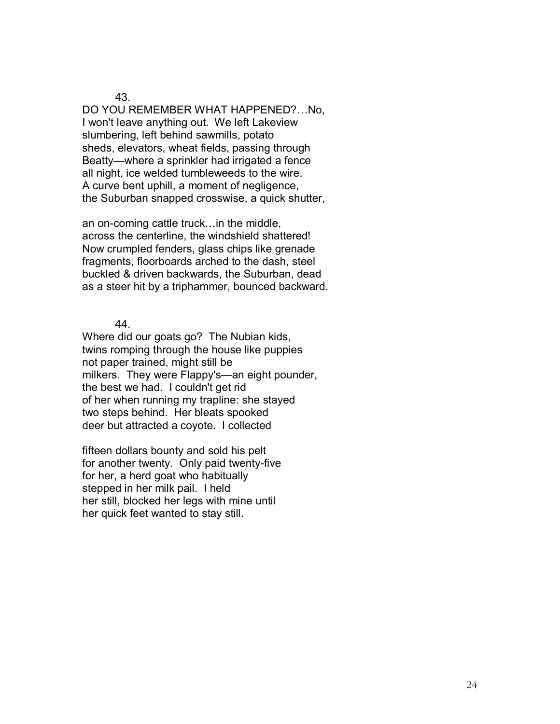DO YOU REMEMBER WHAT HAPPENED?...No, I won't leave anything out. We left Lakeview slumbering, left behind sawmills, potato sheds, elevators, wheat fields, passing through Beatty—where a sprinkler had irrigated a fence all night, ice welded tumbleweeds to the wire. A curve bent uphill, a moment of negligence, the Suburban snapped crosswise, a quick shutter,

an on-coming cattle truck... in the middle, across the centerline, the windshield shattered! Now crumpled fenders, glass chips like grenade fragments, floorboards arched to the dash, steel buckled & driven backwards, the Suburban, dead as a steer hit by a triphammer, bounced backward.

44.

Where did our goats go? The Nubian kids, twins romping through the house like puppies not paper trained, might still be milkers. They were Flappy's—an eight pounder, the best we had. I couldn't get rid of her when running my trapline: she stayed two steps behind. Her bleats spooked deer but attracted a coyote. I collected

fifteen dollars bounty and sold his pelt for another twenty. Only paid twenty-five for her, a herd goat who habitually stepped in her milk pail. I held her still, blocked her legs with mine until her quick feet wanted to stay still.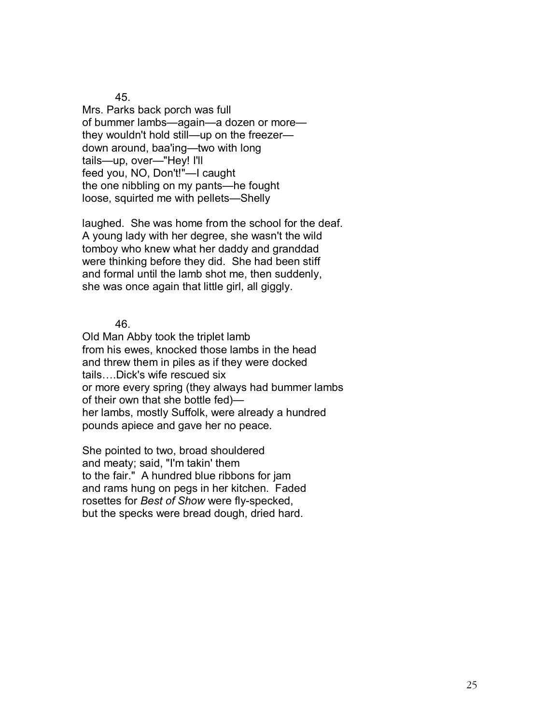Mrs. Parks back porch was full of bummer lambs-again-a dozen or morethey wouldn't hold still—up on the freezer down around, baa'ing—two with long tails-up, over-"Hey! I'll feed you, NO, Don't!"-I caught the one nibbling on my pants—he fought loose, squirted me with pellets—Shelly

laughed. She was home from the school for the deaf. A young lady with her degree, she wasn't the wild tomboy who knew what her daddy and granddad were thinking before they did. She had been stiff and formal until the lamb shot me, then suddenly, she was once again that little girl, all giggly.

46.

Old Man Abby took the triplet lamb from his ewes, knocked those lambs in the head and threw them in piles as if they were docked tails....Dick's wife rescued six or more every spring (they always had bummer lambs of their own that she bottle fed) $$ her lambs, mostly Suffolk, were already a hundred pounds apiece and gave her no peace.

She pointed to two, broad shouldered and meaty; said, "I'm takin' them to the fair." A hundred blue ribbons for jam and rams hung on pegs in her kitchen. Faded rosettes for *Best of Show* were fly-specked, but the specks were bread dough, dried hard.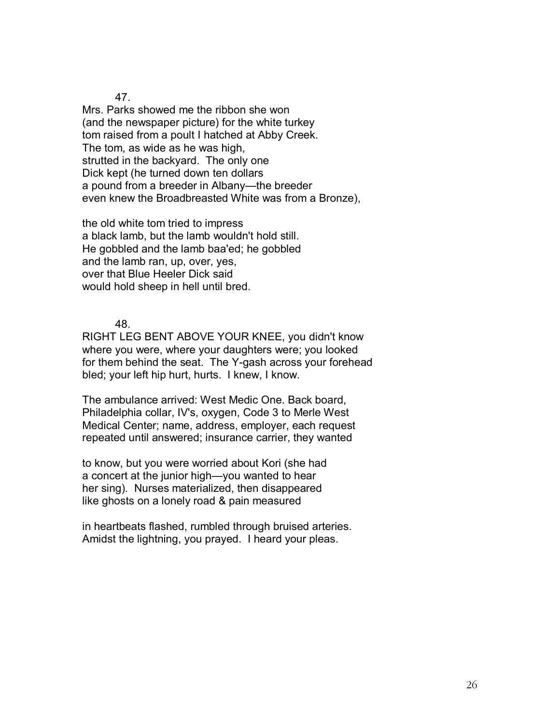Mrs. Parks showed me the ribbon she won (and the newspaper picture) for the white turkey tom raised from a poult I hatched at Abby Creek. The tom, as wide as he was high, strutted in the backyard. The only one Dick kept (he turned down ten dollars a pound from a breeder in Albany—the breeder even knew the Broadbreasted White was from a Bronze),

the old white tom tried to impress a black lamb, but the lamb wouldn't hold still. He gobbled and the lamb baa'ed; he gobbled and the lamb ran, up, over, yes, over that Blue Heeler Dick said would hold sheep in hell until bred.

48.

RIGHT LEG BENT ABOVE YOUR KNEE, you didn't know where you were, where your daughters were; you looked for them behind the seat. The Y-gash across your forehead bled; your left hip hurt, hurts. I knew, I know.

The ambulance arrived: West Medic One. Back board, Philadelphia collar, IV's, oxygen, Code 3 to Merle West Medical Center; name, address, employer, each request repeated until answered; insurance carrier, they wanted

to know, but you were worried about Kori (she had a concert at the junior high-you wanted to hear her sing). Nurses materialized, then disappeared like ghosts on a lonely road & pain measured

in heartbeats flashed, rumbled through bruised arteries. Amidst the lightning, you prayed. I heard your pleas.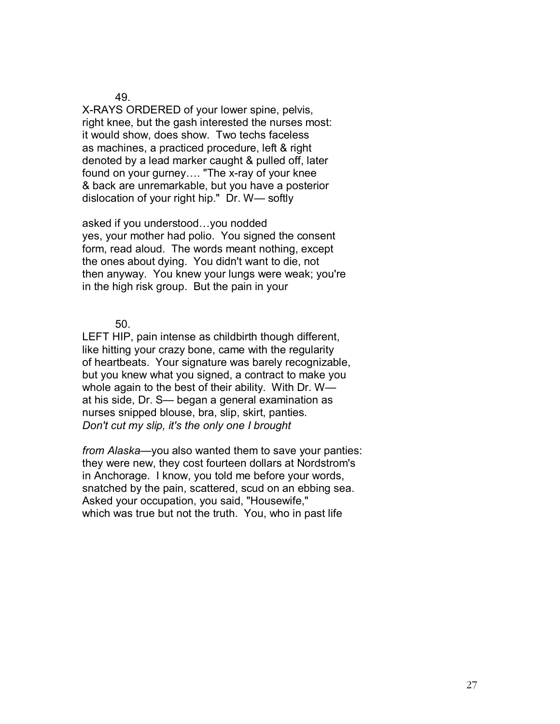X-RAYS ORDERED of your lower spine, pelvis, right knee, but the gash interested the nurses most: it would show, does show. Two techs faceless as machines, a practiced procedure, left & right denoted by a lead marker caught & pulled off, later found on your gurney.... "The x-ray of your knee & back are unremarkable, but you have a posterior dislocation of your right hip." Dr. W-softly

asked if you understood...you nodded yes, your mother had polio. You signed the consent form, read aloud. The words meant nothing, except the ones about dying. You didn't want to die, not then anyway. You knew your lungs were weak; you're in the high risk group. But the pain in your

50.

LEFT HIP, pain intense as childbirth though different, like hitting your crazy bone, came with the regularity of heartbeats. Your signature was barely recognizable, but you knew what you signed, a contract to make you whole again to the best of their ability. With Dr.  $W$  at his side, Dr. S— began a general examination as nurses snipped blouse, bra, slip, skirt, panties. *Don't cut my slip, it's the only one I brought* 

*from Alaska*—you also wanted them to save your panties: they were new, they cost fourteen dollars at Nordstrom's in Anchorage. I know, you told me before your words, snatched by the pain, scattered, scud on an ebbing sea. Asked your occupation, you said, "Housewife," which was true but not the truth. You, who in past life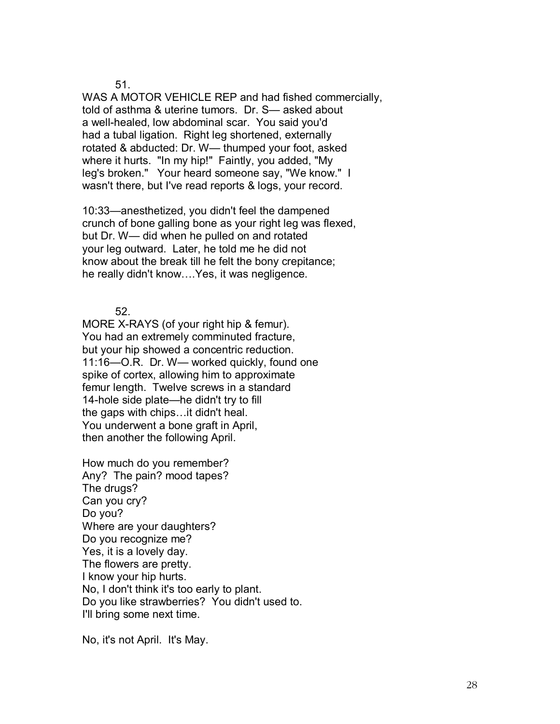WAS A MOTOR VEHICLE REP and had fished commercially, told of asthma & uterine tumors. Dr. S— asked about a well-healed, low abdominal scar. You said you'd had a tubal ligation. Right leg shortened, externally rotated & abducted: Dr. W— thumped your foot, asked where it hurts. "In my hip!" Faintly, you added, "My leg's broken." Your heard someone say, "We know." I wasn't there, but I've read reports & logs, your record.

10:33—anesthetized, you didn't feel the dampened crunch of bone galling bone as your right leg was flexed, but Dr. W— did when he pulled on and rotated your leg outward. Later, he told me he did not know about the break till he felt the bony crepitance; he really didn't know.... Yes, it was negligence.

52.

MORE X-RAYS (of your right hip & femur). You had an extremely comminuted fracture, but your hip showed a concentric reduction.  $11:16$ —O.R. Dr. W— worked quickly, found one spike of cortex, allowing him to approximate femur length. Twelve screws in a standard 14-hole side plate-he didn't try to fill the gaps with chips... it didn't heal. You underwent a bone graft in April, then another the following April.

How much do you remember? Any? The pain? mood tapes? The drugs? Can you cry? Do you? Where are your daughters? Do you recognize me? Yes, it is a lovely day. The flowers are pretty. I know your hip hurts. No, I don't think it's too early to plant. Do you like strawberries? You didn't used to. I'll bring some next time.

No, it's not April. It's May.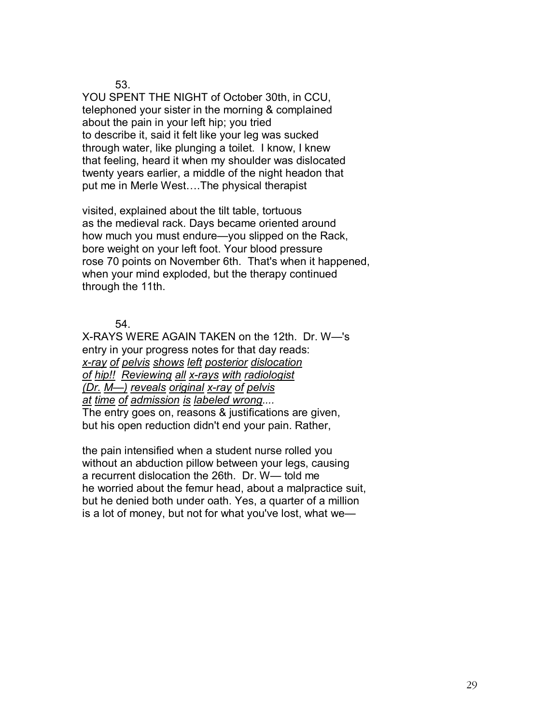YOU SPENT THE NIGHT of October 30th, in CCU, telephoned your sister in the morning & complained about the pain in your left hip; you tried to describe it, said it felt like your leg was sucked through water, like plunging a toilet. I know, I knew that feeling, heard it when my shoulder was dislocated twenty years earlier, a middle of the night headon that put me in Merle West....The physical therapist

visited, explained about the tilt table, tortuous as the medieval rack. Days became oriented around how much you must endure-you slipped on the Rack, bore weight on your left foot. Your blood pressure rose 70 points on November 6th. That's when it happened, when your mind exploded, but the therapy continued through the 11th.

54.

X-RAYS WERE AGAIN TAKEN on the 12th. Dr. W-'s entry in your progress notes for that day reads: *x-ray of pelvis shows left posterior dislocation of hip!! Reviewing all x-rays with radiologist (Dr. M—) reveals original x-ray of pelvis at time of admission is labeled wrong....*  The entry goes on, reasons & justifications are given,

but his open reduction didn't end your pain. Rather,

the pain intensified when a student nurse rolled you without an abduction pillow between your legs, causing a recurrent dislocation the 26th. Dr.  $W$ — told me he worried about the femur head, about a malpractice suit, but he denied both under oath. Yes, a quarter of a million is a lot of money, but not for what you've lost, what we-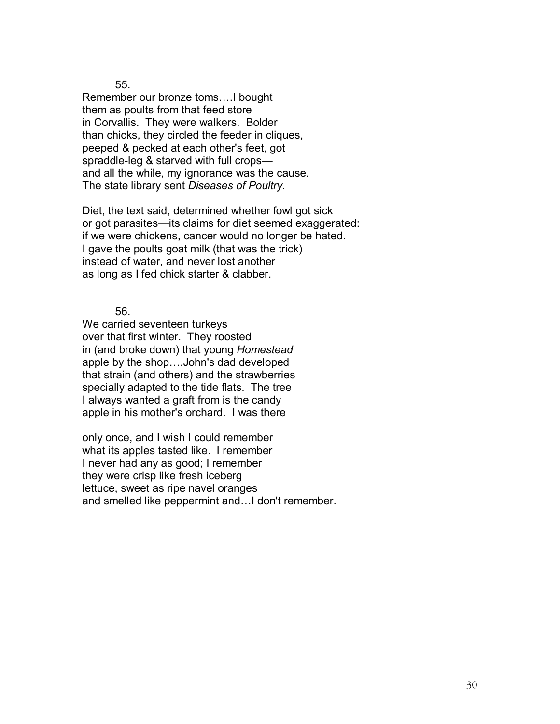Remember our bronze toms.... I bought them as poults from that feed store in Corvallis. They were walkers. Bolder than chicks, they circled the feeder in cliques, peeped & pecked at each other's feet, got spraddle-leg  $&$  starved with full crops and all the while, my ignorance was the cause. The state library sent *Diseases of Poultry.* 

Diet, the text said, determined whether fowl got sick or got parasites—its claims for diet seemed exaggerated: if we were chickens, cancer would no longer be hated. I gave the poults goat milk (that was the trick) instead of water, and never lost another as long as I fed chick starter & clabber.

56.

We carried seventeen turkeys over that first winter. They roosted in (and broke down) that young *Homestead*  apple by the shop....John's dad developed that strain (and others) and the strawberries specially adapted to the tide flats. The tree I always wanted a graft from is the candy apple in his mother's orchard. I was there

only once, and I wish I could remember what its apples tasted like. I remember I never had any as good; I remember they were crisp like fresh iceberg lettuce, sweet as ripe navel oranges and smelled like peppermint and... I don't remember.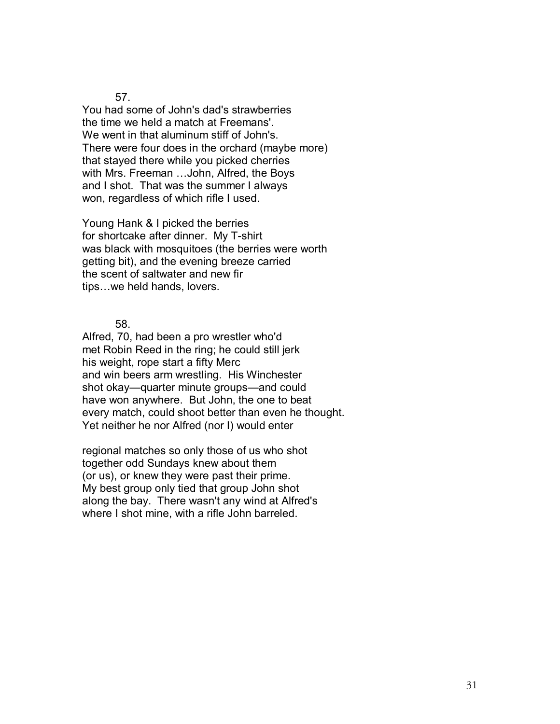You had some of John's dad's strawberries the time we held a match at Freemans'. We went in that aluminum stiff of John's. There were four does in the orchard (maybe more) that stayed there while you picked cherries with Mrs. Freeman ... John, Alfred, the Boys and I shot. That was the summer I always won, regardless of which rifle I used.

Young Hank & I picked the berries for shortcake after dinner. My T-shirt was black with mosquitoes (the berries were worth getting bit), and the evening breeze carried the scent of saltwater and new fir tips...we held hands, lovers.

58.

Alfred, 70, had been a pro wrestler who'd met Robin Reed in the ring; he could still jerk his weight, rope start a fifty Merc and win beers arm wrestling. His Winchester shot okay—quarter minute groups—and could have won anywhere. But John, the one to beat every match, could shoot better than even he thought. Yet neither he nor Alfred (nor I) would enter

regional matches so only those of us who shot together odd Sundays knew about them (or us), or knew they were past their prime. My best group only tied that group John shot along the bay. There wasn't any wind at Alfred's where I shot mine, with a rifle John barreled.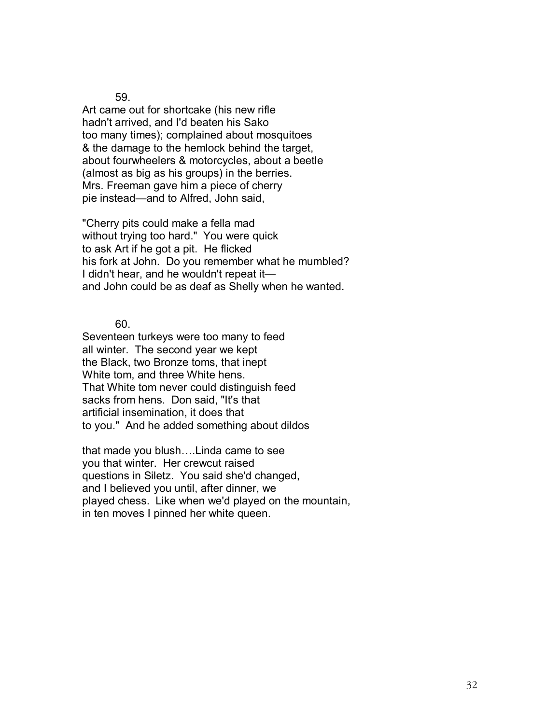Art came out for shortcake (his new rifle hadn't arrived, and I'd beaten his Sako too many times); complained about mosquitoes & the damage to the hemlock behind the target, about fourwheelers & motorcycles, about a beetle (almost as big as his groups) in the berries. Mrs. Freeman gave him a piece of cherry pie instead—and to Alfred, John said,

"Cherry pits could make a fella mad without trying too hard." You were quick to ask Art if he got a pit. He flicked his fork at John. Do you remember what he mumbled? I didn't hear, and he wouldn't repeat it and John could be as deaf as Shelly when he wanted.

60.

Seventeen turkeys were too many to feed all winter. The second year we kept the Black, two Bronze toms, that inept White tom, and three White hens. That White tom never could distinguish feed sacks from hens. Don said, "It's that artificial insemination, it does that to you." And he added something about dildos

that made you blush....Linda came to see you that winter. Her crewcut raised questions in Siletz. You said she'd changed, and I believed you until, after dinner, we played chess. Like when we'd played on the mountain, in ten moves I pinned her white queen.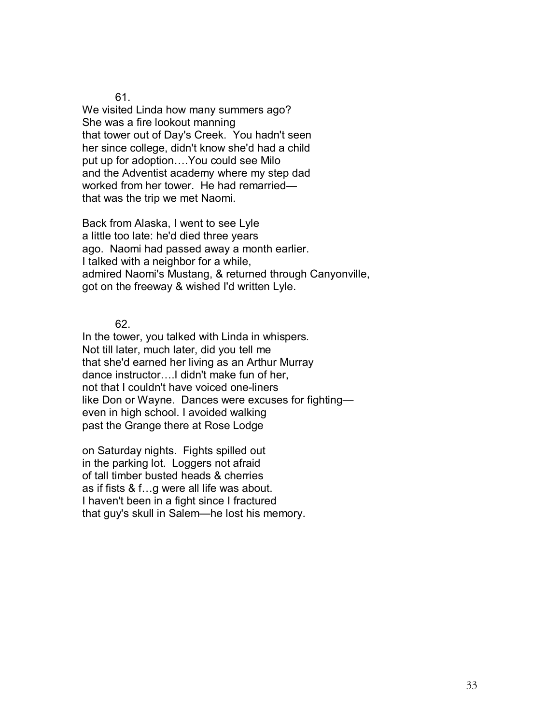We visited Linda how many summers ago? She was a fire lookout manning that tower out of Day's Creek. You hadn't seen her since college, didn't know she'd had a child put up for adoption.... You could see Milo and the Adventist academy where my step dad worked from her tower. He had remarriedthat was the trip we met Naomi.

Back from Alaska, I went to see Lyle a little too late: he'd died three years ago. Naomi had passed away a month earlier. I talked with a neighbor for a while, admired Naomi's Mustang, & returned through Canyonville, got on the freeway & wished I'd written Lyle.

62.

In the tower, you talked with Linda in whispers. Not till later, much later, did you tell me that she'd earned her living as an Arthur Murray dance instructor....I didn't make fun of her, not that I couldn't have voiced one-liners like Don or Wayne. Dances were excuses for fightingeven in high school. I avoided walking past the Grange there at Rose Lodge

on Saturday nights. Fights spilled out in the parking lot. Loggers not afraid of tall timber busted heads & cherries as if fists  $& 1 \ldots q$  were all life was about. I haven't been in a fight since I fractured that guy's skull in Salem—he lost his memory.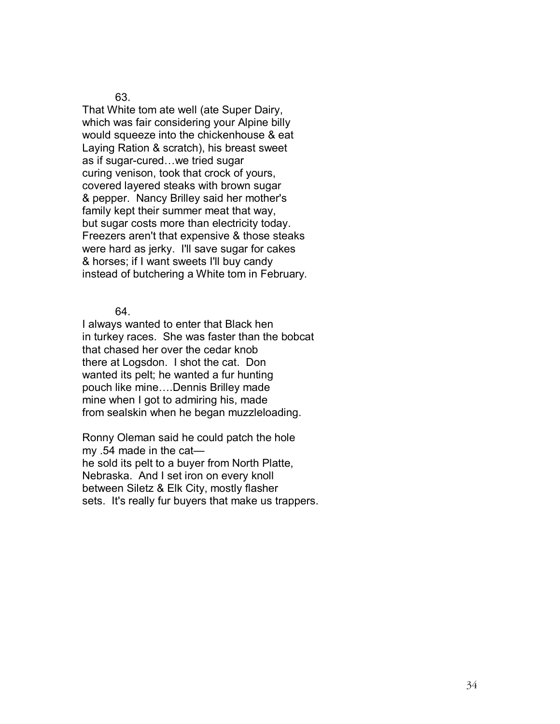That White tom ate well (ate Super Dairy, which was fair considering your Alpine billy would squeeze into the chickenhouse & eat Laying Ration & scratch), his breast sweet as if sugar-cured...we tried sugar curing venison, took that crock of yours, covered layered steaks with brown sugar & pepper. Nancy Brilley said her mother's family kept their summer meat that way, but sugar costs more than electricity today. Freezers aren't that expensive & those steaks were hard as jerky. I'll save sugar for cakes & horses; if I want sweets I'll buy candy instead of butchering a White tom in February.

64.

I always wanted to enter that Black hen in turkey races. She was faster than the bobcat that chased her over the cedar knob there at Logsdon. I shot the cat. Don wanted its pelt; he wanted a fur hunting pouch like mine....Dennis Brilley made mine when I got to admiring his, made from sealskin when he began muzzleloading.

Ronny Oleman said he could patch the hole my  $.54$  made in the cathe sold its pelt to a buyer from North Platte, Nebraska. And I set iron on every knoll between Siletz & Elk City, mostly flasher sets. It's really fur buyers that make us trappers.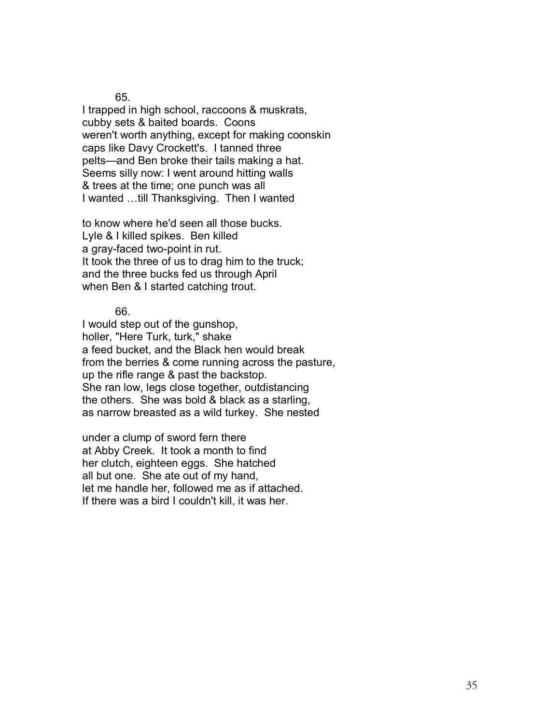I trapped in high school, raccoons & muskrats, cubby sets & baited boards. Coons weren't worth anything, except for making coonskin caps like Davy Crockett's. I tanned three pelts—and Ben broke their tails making a hat. Seems silly now: I went around hitting walls & trees at the time; one punch was all I wanted ...till Thanksgiving. Then I wanted

to know where he'd seen all those bucks. Lyle & I killed spikes. Ben killed a gray-faced two-point in rut. It took the three of us to drag him to the truck; and the three bucks fed us through April when Ben & I started catching trout.

66.

I would step out of the gunshop, holler, "Here Turk, turk," shake a feed bucket, and the Black hen would break from the berries & come running across the pasture, up the rifle range & past the backstop. She ran low, legs close together, outdistancing the others. She was bold & black as a starling, as narrow breasted as a wild turkey. She nested

under a clump of sword fern there at Abby Creek. It took a month to find her clutch, eighteen eggs. She hatched all but one. She ate out of my hand, let me handle her, followed me as if attached. If there was a bird I couldn't kill, it was her.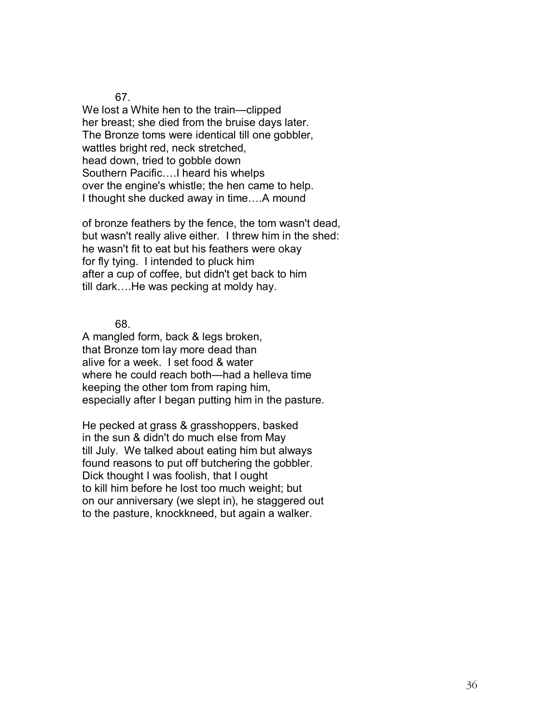We lost a White hen to the train—clipped her breast; she died from the bruise days later. The Bronze toms were identical till one gobbler, wattles bright red, neck stretched, head down, tried to gobble down Southern Pacific....I heard his whelps over the engine's whistle; the hen came to help. I thought she ducked away in time....A mound

of bronze feathers by the fence, the tom wasn't dead, but wasn't really alive either. I threw him in the shed: he wasn't fit to eat but his feathers were okay for fly tying. I intended to pluck him after a cup of coffee, but didn't get back to him till dark....He was pecking at moldy hay.

68.

A mangled form, back & legs broken, that Bronze tom lay more dead than alive for a week. I set food & water where he could reach both—had a helleva time keeping the other tom from raping him, especially after I began putting him in the pasture.

He pecked at grass & grasshoppers, basked in the sun & didn't do much else from May till July. We talked about eating him but always found reasons to put off butchering the gobbler. Dick thought I was foolish, that I ought to kill him before he lost too much weight; but on our anniversary (we slept in), he staggered out to the pasture, knockkneed, but again a walker.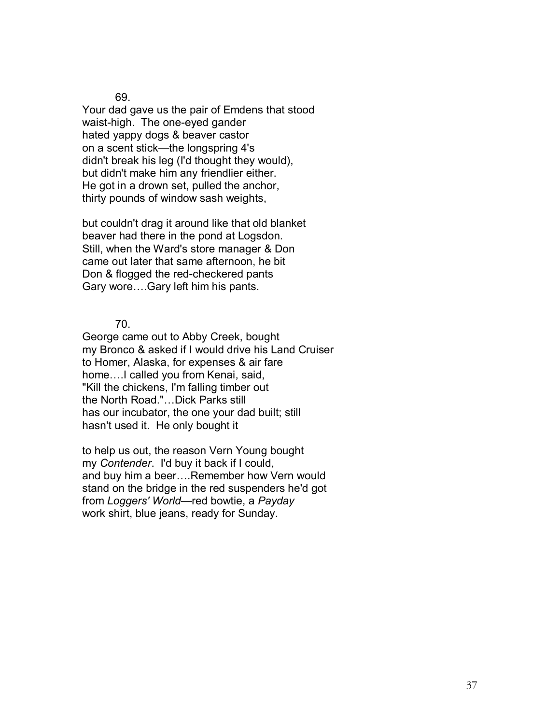Your dad gave us the pair of Emdens that stood waist-high. The one-eyed gander hated yappy dogs & beaver castor on a scent stick—the longspring 4's didn't break his leg (I'd thought they would), but didn't make him any friendlier either. He got in a drown set, pulled the anchor, thirty pounds of window sash weights,

but couldn't drag it around like that old blanket beaver had there in the pond at Logsdon. Still, when the Ward's store manager & Don came out later that same afternoon, he bit Don & flogged the red-checkered pants Gary wore....Gary left him his pants.

70.

George came out to Abby Creek, bought my Bronco & asked if I would drive his Land Cruiser to Homer, Alaska, for expenses & air fare home.... I called you from Kenai, said, "Kill the chickens, I'm falling timber out the North Road."...Dick Parks still has our incubator, the one your dad built; still hasn't used it. He only bought it

to help us out, the reason Vern Young bought my *Contender*. I'd buy it back if I could, and buy him a beer....Remember how Vern would stand on the bridge in the red suspenders he'd got from *Loggers' World*—red bowtie, a Payday work shirt, blue jeans, ready for Sunday.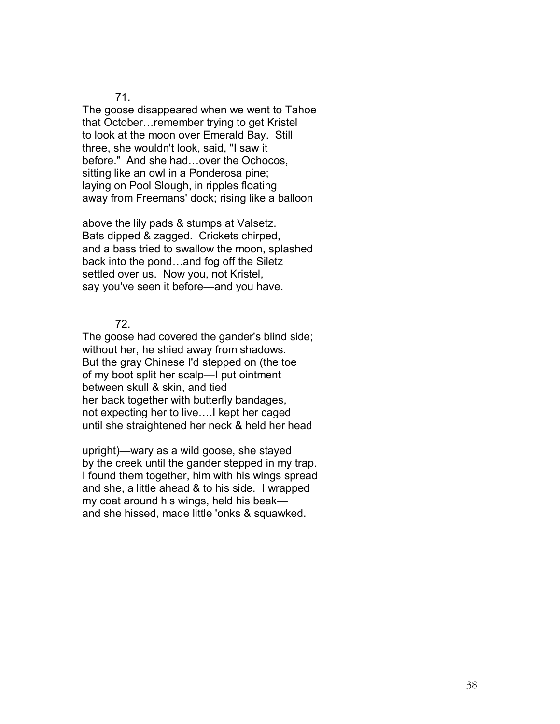The goose disappeared when we went to Tahoe that October... remember trying to get Kristel to look at the moon over Emerald Bay. Still three, she wouldn't look, said, "I saw it before." And she had...over the Ochocos, sitting like an owl in a Ponderosa pine; laying on Pool Slough, in ripples floating away from Freemans' dock; rising like a balloon

above the lily pads & stumps at Valsetz. Bats dipped & zagged. Crickets chirped, and a bass tried to swallow the moon, splashed back into the pond...and fog off the Siletz settled over us. Now you, not Kristel, say you've seen it before—and you have.

72.

The goose had covered the gander's blind side; without her, he shied away from shadows. But the gray Chinese I'd stepped on (the toe of my boot split her scalp—I put ointment between skull & skin, and tied her back together with butterfly bandages, not expecting her to live....I kept her caged until she straightened her neck & held her head

upright)—wary as a wild goose, she stayed by the creek until the gander stepped in my trap. I found them together, him with his wings spread and she, a little ahead & to his side. I wrapped my coat around his wings, held his beak and she hissed, made little 'onks & squawked.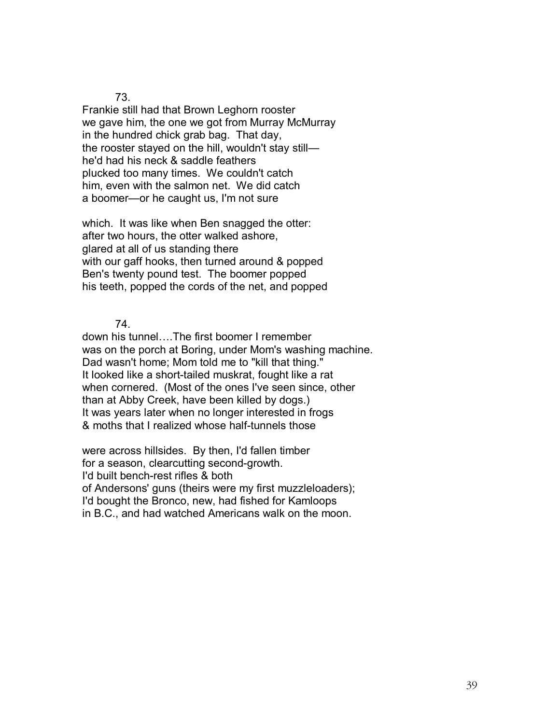Frankie still had that Brown Leghorn rooster we gave him, the one we got from Murray McMurray in the hundred chick grab bag. That day, the rooster stayed on the hill, wouldn't stay still he'd had his neck & saddle feathers plucked too many times. We couldn't catch him, even with the salmon net. We did catch a boomer—or he caught us, I'm not sure

which. It was like when Ben snagged the otter: after two hours, the otter walked ashore, glared at all of us standing there with our gaff hooks, then turned around & popped Ben's twenty pound test. The boomer popped his teeth, popped the cords of the net, and popped

74.

down his tunnel....The first boomer I remember was on the porch at Boring, under Mom's washing machine. Dad wasn't home; Mom told me to "kill that thing." It looked like a short-tailed muskrat, fought like a rat when cornered. (Most of the ones I've seen since, other than at Abby Creek, have been killed by dogs.) It was years later when no longer interested in frogs & moths that I realized whose half-tunnels those

were across hillsides. By then, I'd fallen timber for a season, clearcutting second-growth. I'd built bench-rest rifles & both of Andersons' guns (theirs were my first muzzleloaders); I'd bought the Bronco, new, had fished for Kamloops in B.C., and had watched Americans walk on the moon.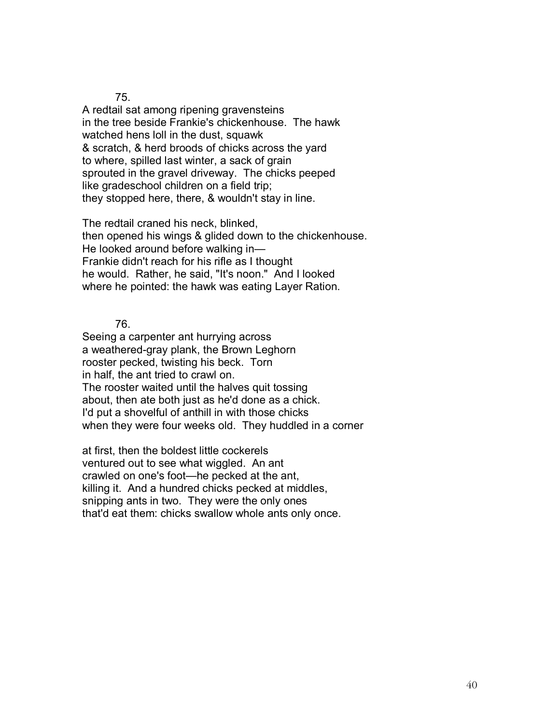A redtail sat among ripening gravensteins in the tree beside Frankie's chickenhouse. The hawk watched hens loll in the dust, squawk & scratch, & herd broods of chicks across the yard to where, spilled last winter, a sack of grain sprouted in the gravel driveway. The chicks peeped like gradeschool children on a field trip; they stopped here, there, & wouldn't stay in line.

The redtail craned his neck, blinked, then opened his wings & glided down to the chickenhouse. He looked around before walking in-Frankie didn't reach for his rifle as I thought he would. Rather, he said, "It's noon." And I looked where he pointed: the hawk was eating Layer Ration.

76.

Seeing a carpenter ant hurrying across a weathered-gray plank, the Brown Leghorn rooster pecked, twisting his beck. Torn in half, the ant tried to crawl on. The rooster waited until the halves quit tossing about, then ate both just as he'd done as a chick. I'd put a shovelful of anthill in with those chicks when they were four weeks old. They huddled in a corner

at first, then the boldest little cockerels ventured out to see what wiggled. An ant crawled on one's foot—he pecked at the ant, killing it. And a hundred chicks pecked at middles, snipping ants in two. They were the only ones that'd eat them: chicks swallow whole ants only once.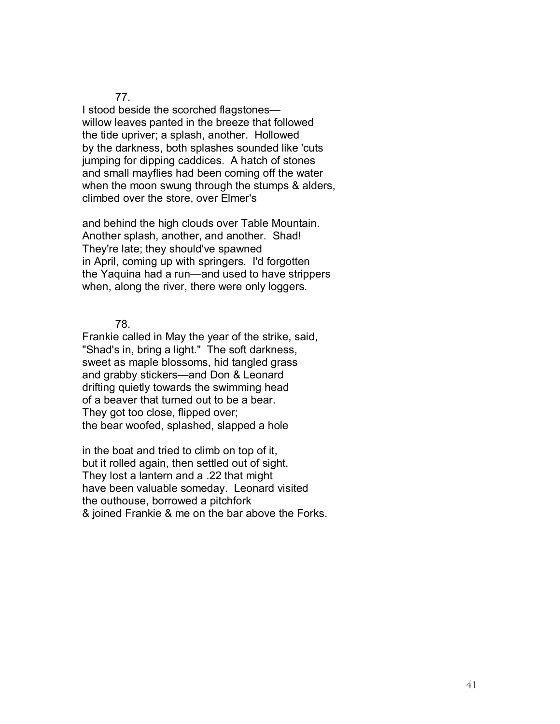I stood beside the scorched flagstones willow leaves panted in the breeze that followed the tide upriver; a splash, another. Hollowed by the darkness, both splashes sounded like 'cuts jumping for dipping caddices. A hatch of stones and small mayflies had been coming off the water when the moon swung through the stumps & alders, climbed over the store, over Elmer's

and behind the high clouds over Table Mountain. Another splash, another, and another. Shad! They're late; they should've spawned in April, coming up with springers. I'd forgotten the Yaquina had a run—and used to have strippers when, along the river, there were only loggers.

78.

Frankie called in May the year of the strike, said, "Shad's in, bring a light." The soft darkness, sweet as maple blossoms, hid tangled grass and grabby stickers—and Don & Leonard drifting quietly towards the swimming head of a beaver that turned out to be a bear. They got too close, flipped over; the bear woofed, splashed, slapped a hole

in the boat and tried to climb on top of it, but it rolled again, then settled out of sight. They lost a lantern and a .22 that might have been valuable someday. Leonard visited the outhouse, borrowed a pitchfork & joined Frankie & me on the bar above the Forks.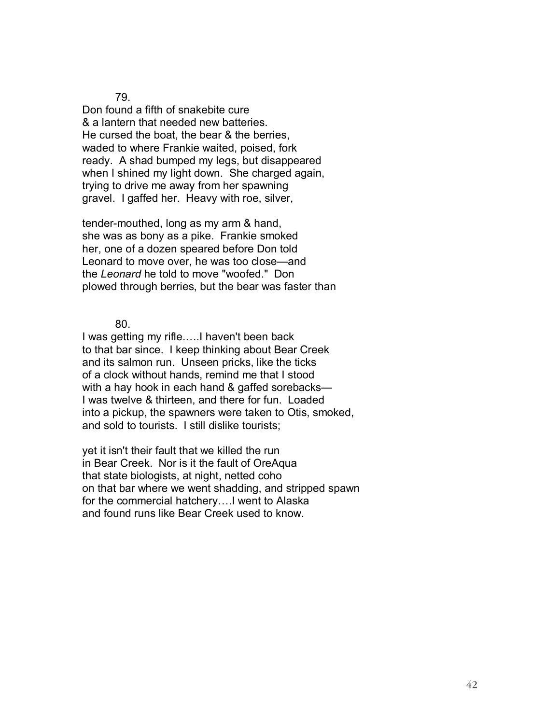Don found a fifth of snakebite cure & a lantern that needed new batteries. He cursed the boat, the bear & the berries, waded to where Frankie waited, poised, fork ready. A shad bumped my legs, but disappeared when I shined my light down. She charged again, trying to drive me away from her spawning gravel. I gaffed her. Heavy with roe, silver,

tender-mouthed, long as my arm & hand, she was as bony as a pike. Frankie smoked her, one of a dozen speared before Don told Leonard to move over, he was too close—and the *Leonard* he told to move "woofed." Don plowed through berries, but the bear was faster than

80.

I was getting my rifle.....I haven't been back to that bar since. I keep thinking about Bear Creek and its salmon run. Unseen pricks, like the ticks of a clock without hands, remind me that I stood with a hay hook in each hand  $&$  gaffed sorebacks-I was twelve & thirteen, and there for fun. Loaded into a pickup, the spawners were taken to Otis, smoked, and sold to tourists. I still dislike tourists;

yet it isn't their fault that we killed the run in Bear Creek. Nor is it the fault of OreAqua that state biologists, at night, netted coho on that bar where we went shadding, and stripped spawn for the commercial hatchery.... went to Alaska and found runs like Bear Creek used to know.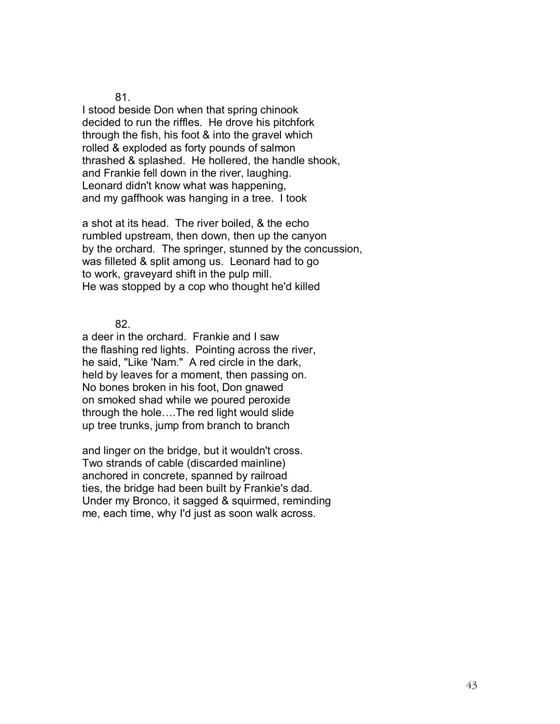I stood beside Don when that spring chinook decided to run the riffles. He drove his pitchfork through the fish, his foot & into the gravel which rolled & exploded as forty pounds of salmon thrashed & splashed. He hollered, the handle shook, and Frankie fell down in the river, laughing. Leonard didn't know what was happening, and my gaffhook was hanging in a tree. I took

a shot at its head. The river boiled, & the echo rumbled upstream, then down, then up the canyon by the orchard. The springer, stunned by the concussion, was filleted & split among us. Leonard had to go to work, graveyard shift in the pulp mill. He was stopped by a cop who thought he'd killed

82.

a deer in the orchard. Frankie and I saw the flashing red lights. Pointing across the river, he said, "Like 'Nam." A red circle in the dark, held by leaves for a moment, then passing on. No bones broken in his foot, Don gnawed on smoked shad while we poured peroxide through the hole.... The red light would slide up tree trunks, jump from branch to branch

and linger on the bridge, but it wouldn't cross. Two strands of cable (discarded mainline) anchored in concrete, spanned by railroad ties, the bridge had been built by Frankie's dad. Under my Bronco, it sagged & squirmed, reminding me, each time, why I'd just as soon walk across.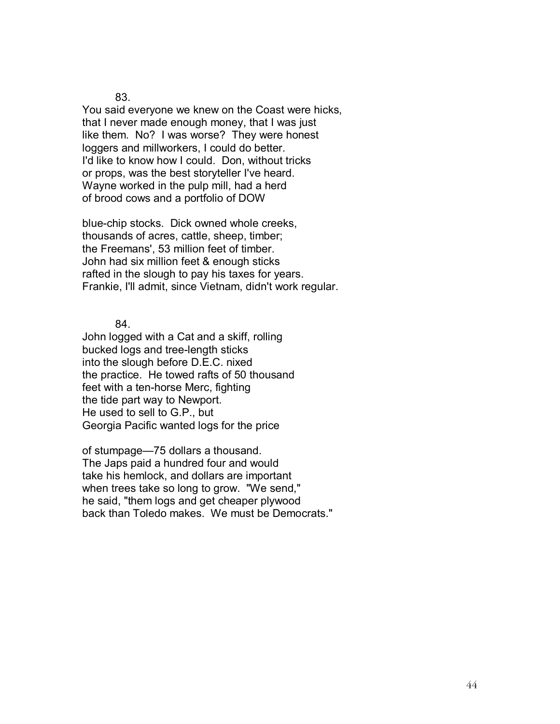You said everyone we knew on the Coast were hicks, that I never made enough money, that I was just like them. No? I was worse? They were honest loggers and millworkers, I could do better. I'd like to know how I could. Don, without tricks or props, was the best storyteller I've heard. Wayne worked in the pulp mill, had a herd of brood cows and a portfolio of DOW

blue-chip stocks. Dick owned whole creeks, thousands of acres, cattle, sheep, timber; the Freemans', 53 million feet of timber. John had six million feet & enough sticks rafted in the slough to pay his taxes for years. Frankie, I'll admit, since Vietnam, didn't work regular.

84.

John logged with a Cat and a skiff, rolling bucked logs and tree-length sticks into the slough before D.E.C. nixed the practice. He towed rafts of 50 thousand feet with a ten-horse Merc, fighting the tide part way to Newport. He used to sell to G.P., but Georgia Pacific wanted logs for the price

of stumpage—75 dollars a thousand. The Japs paid a hundred four and would take his hemlock, and dollars are important when trees take so long to grow. "We send," he said, "them logs and get cheaper plywood back than Toledo makes. We must be Democrats."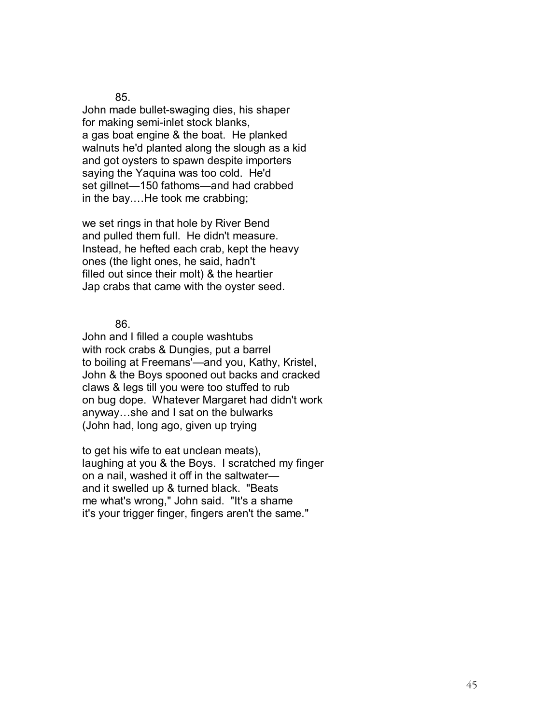John made bullet-swaging dies, his shaper for making semi-inlet stock blanks, a gas boat engine & the boat. He planked walnuts he'd planted along the slough as a kid and got oysters to spawn despite importers saying the Yaquina was too cold. He'd set gillnet-150 fathoms-and had crabbed in the bay....He took me crabbing;

we set rings in that hole by River Bend and pulled them full. He didn't measure. Instead, he hefted each crab, kept the heavy ones (the light ones, he said, hadn't filled out since their molt) & the heartier Jap crabs that came with the oyster seed.

86.

John and I filled a couple washtubs with rock crabs & Dungies, put a barrel to boiling at Freemans'—and you, Kathy, Kristel, John & the Boys spooned out backs and cracked claws & legs till you were too stuffed to rub on bug dope. Whatever Margaret had didn't work anyway...she and I sat on the bulwarks (John had, long ago, given up trying

to get his wife to eat unclean meats), laughing at you & the Boys. I scratched my finger on a nail, washed it off in the saltwater and it swelled up & turned black. "Beats me what's wrong," John said. "It's a shame it's your trigger finger, fingers aren't the same."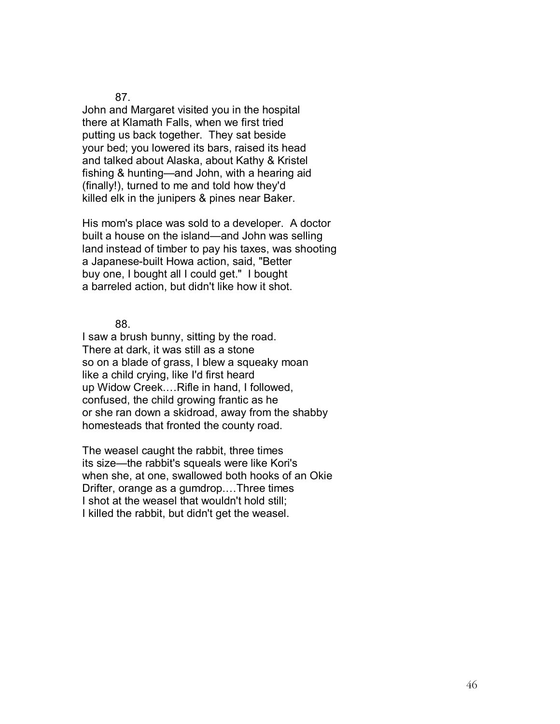John and Margaret visited you in the hospital there at Klamath Falls, when we first tried putting us back together. They sat beside your bed; you lowered its bars, raised its head and talked about Alaska, about Kathy & Kristel fishing & hunting—and John, with a hearing aid (finally!), turned to me and told how they'd killed elk in the junipers & pines near Baker.

His mom's place was sold to a developer. A doctor built a house on the island—and John was selling land instead of timber to pay his taxes, was shooting a Japanese-built Howa action, said, "Better buy one, I bought all I could get." I bought a barreled action, but didn't like how it shot.

88.

I saw a brush bunny, sitting by the road. There at dark, it was still as a stone so on a blade of grass, I blew a squeaky moan like a child crying, like I'd first heard up Widow Creek....Rifle in hand, I followed, confused, the child growing frantic as he or she ran down a skidroad, away from the shabby homesteads that fronted the county road.

The weasel caught the rabbit, three times its size—the rabbit's squeals were like Kori's when she, at one, swallowed both hooks of an Okie Drifter, orange as a gumdrop....Three times I shot at the weasel that wouldn't hold still; I killed the rabbit, but didn't get the weasel.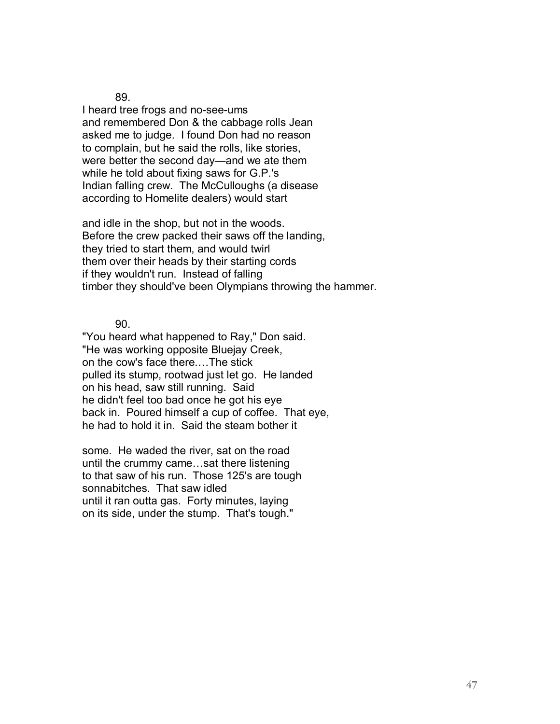I heard tree frogs and no-see-ums and remembered Don & the cabbage rolls Jean asked me to judge. I found Don had no reason to complain, but he said the rolls, like stories, were better the second day—and we ate them while he told about fixing saws for G.P.'s Indian falling crew. The McCulloughs (a disease according to Homelite dealers) would start

and idle in the shop, but not in the woods. Before the crew packed their saws off the landing, they tried to start them, and would twirl them over their heads by their starting cords if they wouldn't run. Instead of falling timber they should've been Olympians throwing the hammer.

90.

"You heard what happened to Ray," Don said. "He was working opposite Bluejay Creek, on the cow's face there.... The stick pulled its stump, rootwad just let go. He landed on his head, saw still running. Said he didn't feel too bad once he got his eye back in. Poured himself a cup of coffee. That eye, he had to hold it in. Said the steam bother it

some. He waded the river, sat on the road until the crummy came...sat there listening to that saw of his run. Those 125's are tough sonnabitches. That saw idled until it ran outta gas. Forty minutes, laying on its side, under the stump. That's tough."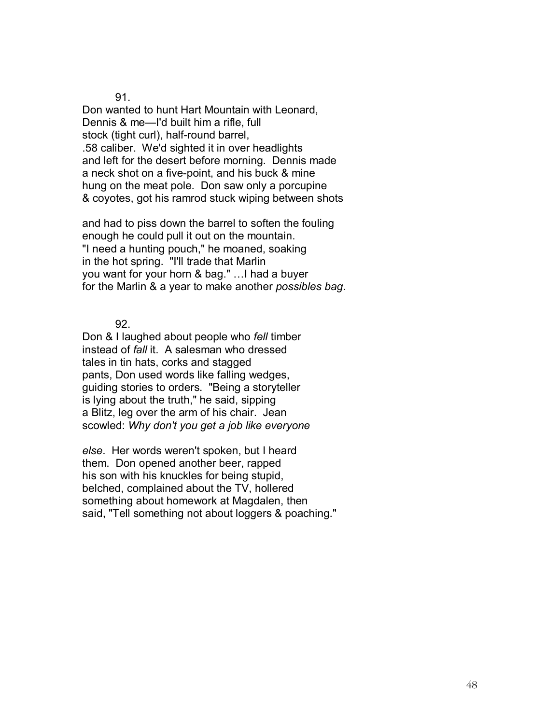Don wanted to hunt Hart Mountain with Leonard, Dennis & me—I'd built him a rifle, full stock (tight curl), half-round barrel, .58 caliber. We'd sighted it in over headlights and left for the desert before morning. Dennis made a neck shot on a five-point, and his buck & mine hung on the meat pole. Don saw only a porcupine & coyotes, got his ramrod stuck wiping between shots

and had to piss down the barrel to soften the fouling enough he could pull it out on the mountain. "I need a hunting pouch," he moaned, soaking in the hot spring. "I'll trade that Marlin you want for your horn & bag." ... I had a buyer for the Marlin & a year to make another *possibles bag*.

92.

Don & I laughed about people who *fell* timber instead of *fall* it. A salesman who dressed tales in tin hats, corks and stagged pants, Don used words like falling wedges, guiding stories to orders. "Being a storyteller is lying about the truth," he said, sipping a Blitz, leg over the arm of his chair. Jean scowled: *Why don't you get a job like everyone* 

*else*. Her words weren't spoken, but I heard them. Don opened another beer, rapped his son with his knuckles for being stupid, belched, complained about the TV, hollered something about homework at Magdalen, then said, "Tell something not about loggers & poaching."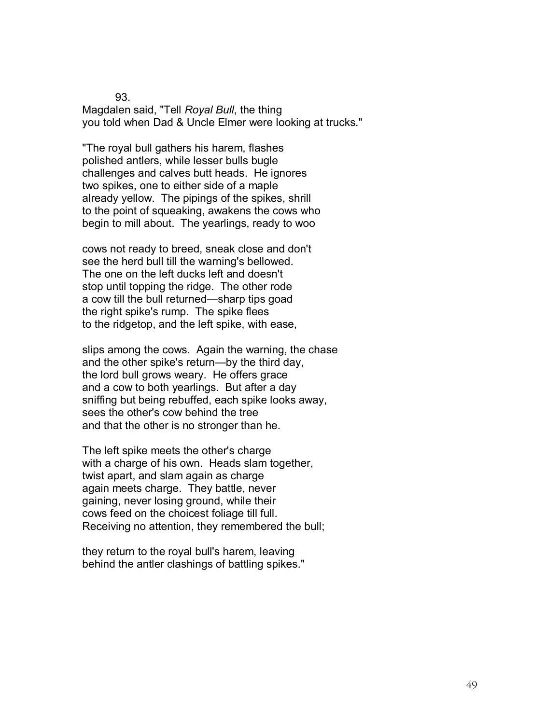Magdalen said, "Tell *Royal Bull*, the thing you told when Dad & Uncle Elmer were looking at trucks."

"The royal bull gathers his harem, flashes polished antlers, while lesser bulls bugle challenges and calves butt heads. He ignores two spikes, one to either side of a maple already yellow. The pipings of the spikes, shrill to the point of squeaking, awakens the cows who begin to mill about. The yearlings, ready to woo

cows not ready to breed, sneak close and don't see the herd bull till the warning's bellowed. The one on the left ducks left and doesn't stop until topping the ridge. The other rode a cow till the bull returned-sharp tips goad the right spike's rump. The spike flees to the ridgetop, and the left spike, with ease,

slips among the cows. Again the warning, the chase and the other spike's return—by the third day, the lord bull grows weary. He offers grace and a cow to both yearlings. But after a day sniffing but being rebuffed, each spike looks away, sees the other's cow behind the tree and that the other is no stronger than he.

The left spike meets the other's charge with a charge of his own. Heads slam together, twist apart, and slam again as charge again meets charge. They battle, never gaining, never losing ground, while their cows feed on the choicest foliage till full. Receiving no attention, they remembered the bull;

they return to the royal bull's harem, leaving behind the antler clashings of battling spikes."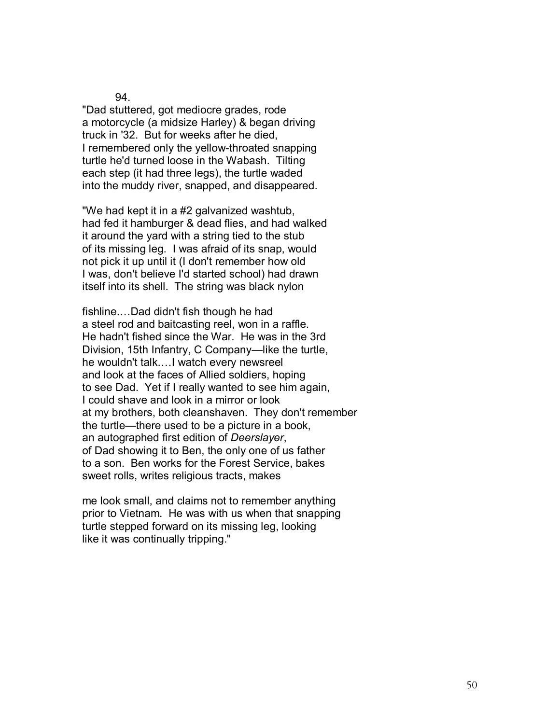"Dad stuttered, got mediocre grades, rode a motorcycle (a midsize Harley) & began driving truck in '32. But for weeks after he died, I remembered only the yellow-throated snapping turtle he'd turned loose in the Wabash. Tilting each step (it had three legs), the turtle waded into the muddy river, snapped, and disappeared.

"We had kept it in a #2 galvanized washtub, had fed it hamburger & dead flies, and had walked it around the yard with a string tied to the stub of its missing leg. I was afraid of its snap, would not pick it up until it (I don't remember how old I was, don't believe I'd started school) had drawn itself into its shell. The string was black nylon

fishline....Dad didn't fish though he had a steel rod and baitcasting reel, won in a raffle. He hadn't fished since the War. He was in the 3rd Division, 15th Infantry, C Company—like the turtle, he wouldn't talk....I watch every newsreel and look at the faces of Allied soldiers, hoping to see Dad. Yet if I really wanted to see him again, I could shave and look in a mirror or look at my brothers, both cleanshaven. They don't remember the turtle—there used to be a picture in a book, an autographed first edition of *Deerslayer*, of Dad showing it to Ben, the only one of us father to a son. Ben works for the Forest Service, bakes sweet rolls, writes religious tracts, makes

me look small, and claims not to remember anything prior to Vietnam. He was with us when that snapping turtle stepped forward on its missing leg, looking like it was continually tripping."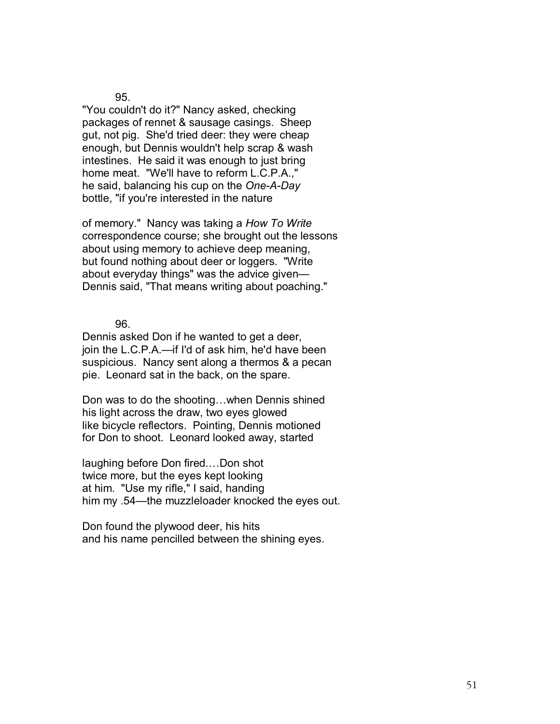"You couldn't do it?" Nancy asked, checking packages of rennet & sausage casings. Sheep gut, not pig. She'd tried deer: they were cheap enough, but Dennis wouldn't help scrap & wash intestines. He said it was enough to just bring home meat. "We'll have to reform L.C.P.A.," he said, balancing his cup on the *One-A-Day*  bottle, "if you're interested in the nature

of memory." Nancy was taking a *How To Write*  correspondence course; she brought out the lessons about using memory to achieve deep meaning, but found nothing about deer or loggers. "Write about everyday things" was the advice given $-$ Dennis said, "That means writing about poaching."

96.

Dennis asked Don if he wanted to get a deer, join the L.C.P.A.—if I'd of ask him, he'd have been suspicious. Nancy sent along a thermos & a pecan pie. Leonard sat in the back, on the spare.

Don was to do the shooting...when Dennis shined his light across the draw, two eyes glowed like bicycle reflectors. Pointing, Dennis motioned for Don to shoot. Leonard looked away, started

laughing before Don fired....Don shot twice more, but the eyes kept looking at him. "Use my rifle," I said, handing him my .54—the muzzleloader knocked the eyes out.

Don found the plywood deer, his hits and his name pencilled between the shining eyes.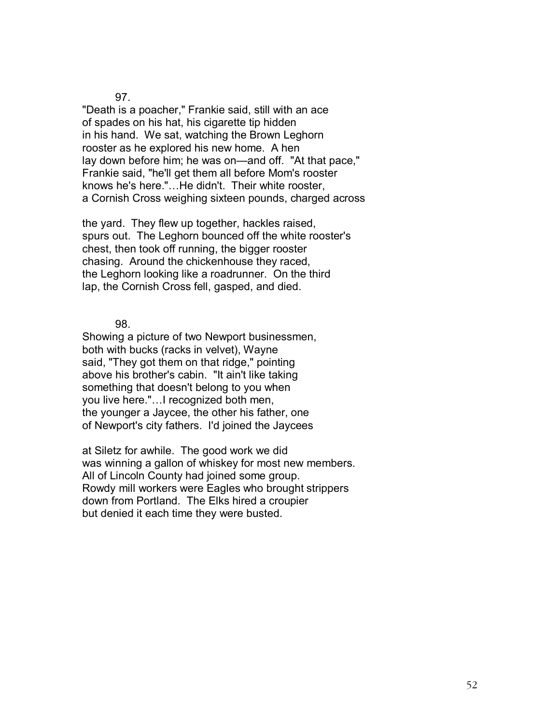"Death is a poacher," Frankie said, still with an ace of spades on his hat, his cigarette tip hidden in his hand. We sat, watching the Brown Leghorn rooster as he explored his new home. A hen lay down before him; he was on—and off. "At that pace," Frankie said, "he'll get them all before Mom's rooster knows he's here."...He didn't. Their white rooster, a Cornish Cross weighing sixteen pounds, charged across

the yard. They flew up together, hackles raised, spurs out. The Leghorn bounced off the white rooster's chest, then took off running, the bigger rooster chasing. Around the chickenhouse they raced, the Leghorn looking like a roadrunner. On the third lap, the Cornish Cross fell, gasped, and died.

98.

Showing a picture of two Newport businessmen, both with bucks (racks in velvet), Wayne said, "They got them on that ridge," pointing above his brother's cabin. "It ain't like taking something that doesn't belong to you when you live here."...I recognized both men, the younger a Jaycee, the other his father, one of Newport's city fathers. I'd joined the Jaycees

at Siletz for awhile. The good work we did was winning a gallon of whiskey for most new members. All of Lincoln County had joined some group. Rowdy mill workers were Eagles who brought strippers down from Portland. The Elks hired a croupier but denied it each time they were busted.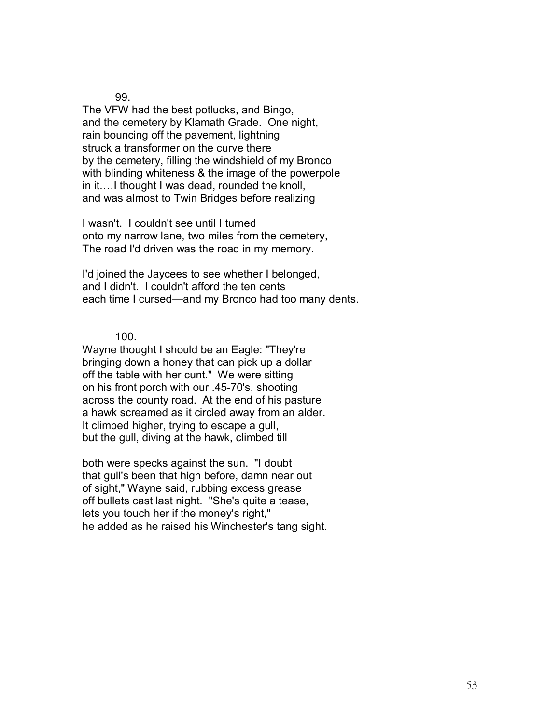The VFW had the best potlucks, and Bingo, and the cemetery by Klamath Grade. One night, rain bouncing off the pavement, lightning struck a transformer on the curve there by the cemetery, filling the windshield of my Bronco with blinding whiteness & the image of the powerpole in it.... I thought I was dead, rounded the knoll, and was almost to Twin Bridges before realizing

I wasn't. I couldn't see until I turned onto my narrow lane, two miles from the cemetery, The road I'd driven was the road in my memory.

I'd joined the Jaycees to see whether I belonged, and I didn't. I couldn't afford the ten cents each time I cursed—and my Bronco had too many dents.

100.

Wayne thought I should be an Eagle: "They're bringing down a honey that can pick up a dollar off the table with her cunt." We were sitting on his front porch with our .45-70's, shooting across the county road. At the end of his pasture a hawk screamed as it circled away from an alder. It climbed higher, trying to escape a gull, but the gull, diving at the hawk, climbed till

both were specks against the sun. "I doubt that gull's been that high before, damn near out of sight," Wayne said, rubbing excess grease off bullets cast last night. "She's quite a tease, lets you touch her if the money's right," he added as he raised his Winchester's tang sight.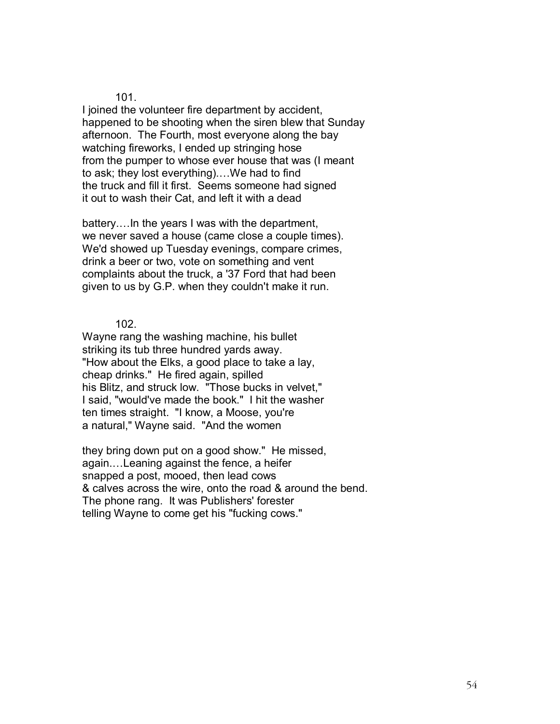I joined the volunteer fire department by accident, happened to be shooting when the siren blew that Sunday afternoon. The Fourth, most everyone along the bay watching fireworks, I ended up stringing hose from the pumper to whose ever house that was (I meant to ask; they lost everything)....We had to find the truck and fill it first. Seems someone had signed it out to wash their Cat, and left it with a dead

battery.... In the years I was with the department, we never saved a house (came close a couple times). We'd showed up Tuesday evenings, compare crimes, drink a beer or two, vote on something and vent complaints about the truck, a '37 Ford that had been given to us by G.P. when they couldn't make it run.

102.

Wayne rang the washing machine, his bullet striking its tub three hundred yards away. "How about the Elks, a good place to take a lay, cheap drinks." He fired again, spilled his Blitz, and struck low. "Those bucks in velvet," I said, "would've made the book." I hit the washer ten times straight. "I know, a Moose, you're a natural," Wayne said. "And the women

they bring down put on a good show." He missed, again....Leaning against the fence, a heifer snapped a post, mooed, then lead cows & calves across the wire, onto the road & around the bend. The phone rang. It was Publishers' forester telling Wayne to come get his "fucking cows."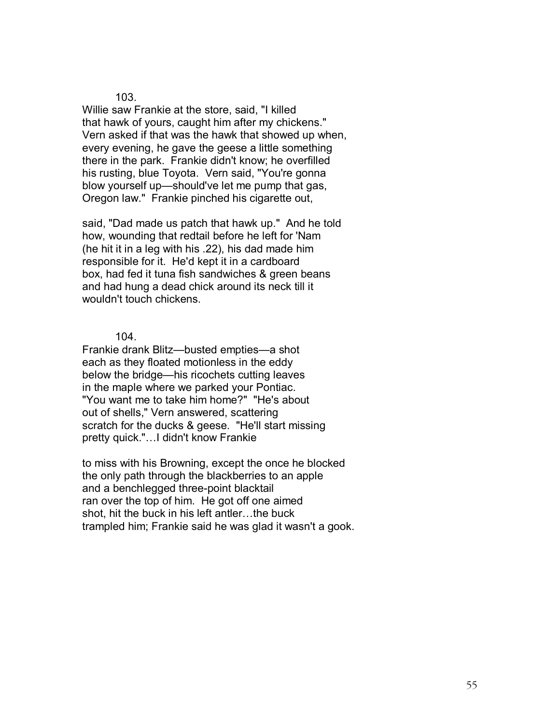Willie saw Frankie at the store, said, "I killed that hawk of yours, caught him after my chickens." Vern asked if that was the hawk that showed up when, every evening, he gave the geese a little something there in the park. Frankie didn't know; he overfilled his rusting, blue Toyota. Vern said, "You're gonna blow yourself up—should've let me pump that gas, Oregon law." Frankie pinched his cigarette out,

said, "Dad made us patch that hawk up." And he told how, wounding that redtail before he left for 'Nam (he hit it in a leg with his .22), his dad made him responsible for it. He'd kept it in a cardboard box, had fed it tuna fish sandwiches & green beans and had hung a dead chick around its neck till it wouldn't touch chickens.

### 104.

Frankie drank Blitz—busted empties—a shot each as they floated motionless in the eddy below the bridge—his ricochets cutting leaves in the maple where we parked your Pontiac. "You want me to take him home?" "He's about out of shells," Vern answered, scattering scratch for the ducks & geese. "He'll start missing pretty quick."...I didn't know Frankie

to miss with his Browning, except the once he blocked the only path through the blackberries to an apple and a benchlegged three-point blacktail ran over the top of him. He got off one aimed shot, hit the buck in his left antler...the buck trampled him; Frankie said he was glad it wasn't a gook.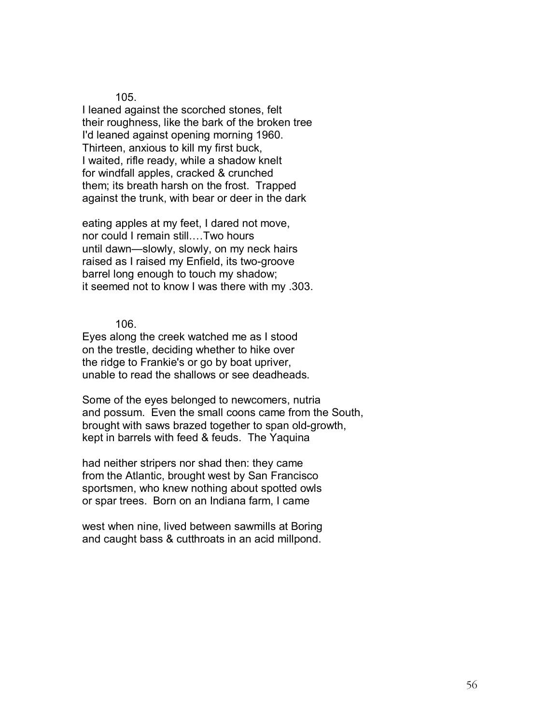I leaned against the scorched stones, felt their roughness, like the bark of the broken tree I'd leaned against opening morning 1960. Thirteen, anxious to kill my first buck, I waited, rifle ready, while a shadow knelt for windfall apples, cracked & crunched them; its breath harsh on the frost. Trapped against the trunk, with bear or deer in the dark

eating apples at my feet, I dared not move, nor could I remain still....Two hours until dawn-slowly, slowly, on my neck hairs raised as I raised my Enfield, its two-groove barrel long enough to touch my shadow; it seemed not to know I was there with my .303.

106.

Eyes along the creek watched me as I stood on the trestle, deciding whether to hike over the ridge to Frankie's or go by boat upriver, unable to read the shallows or see deadheads.

Some of the eyes belonged to newcomers, nutria and possum. Even the small coons came from the South, brought with saws brazed together to span old-growth, kept in barrels with feed & feuds. The Yaquina

had neither stripers nor shad then: they came from the Atlantic, brought west by San Francisco sportsmen, who knew nothing about spotted owls or spar trees. Born on an Indiana farm, I came

west when nine, lived between sawmills at Boring and caught bass & cutthroats in an acid millpond.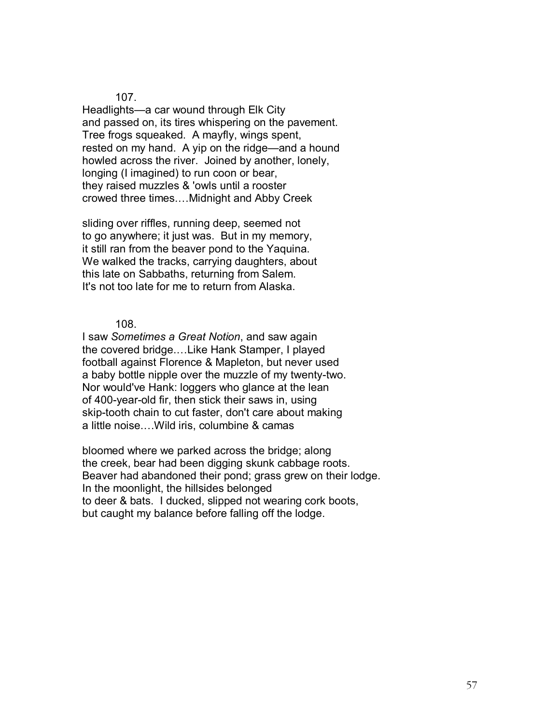Headlights—a car wound through Elk City and passed on, its tires whispering on the pavement. Tree frogs squeaked. A mayfly, wings spent, rested on my hand. A yip on the ridge—and a hound howled across the river. Joined by another, lonely, longing (I imagined) to run coon or bear, they raised muzzles & 'owls until a rooster crowed three times....Midnight and Abby Creek

sliding over riffles, running deep, seemed not to go anywhere; it just was. But in my memory, it still ran from the beaver pond to the Yaquina. We walked the tracks, carrying daughters, about this late on Sabbaths, returning from Salem. It's not too late for me to return from Alaska.

108.

I saw *Sometimes a Great Notion*, and saw again the covered bridge....Like Hank Stamper, I played football against Florence & Mapleton, but never used a baby bottle nipple over the muzzle of my twenty-two. Nor would've Hank: loggers who glance at the lean of 400-year-old fir, then stick their saws in, using skip-tooth chain to cut faster, don't care about making a little noise....Wild iris, columbine & camas

bloomed where we parked across the bridge; along the creek, bear had been digging skunk cabbage roots. Beaver had abandoned their pond; grass grew on their lodge. In the moonlight, the hillsides belonged to deer & bats. I ducked, slipped not wearing cork boots, but caught my balance before falling off the lodge.